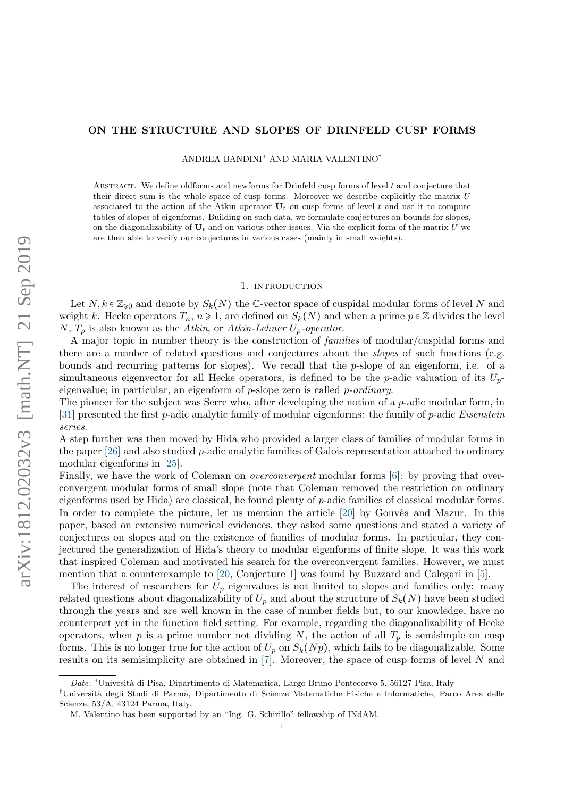# <span id="page-0-0"></span>ON THE STRUCTURE AND SLOPES OF DRINFELD CUSP FORMS

ANDREA BANDINI<sup>∗</sup> AND MARIA VALENTINO†

ABSTRACT. We define oldforms and newforms for Drinfeld cusp forms of level  $t$  and conjecture that their direct sum is the whole space of cusp forms. Moreover we describe explicitly the matrix  $U$ associated to the action of the Atkin operator  $U_t$  on cusp forms of level t and use it to compute tables of slopes of eigenforms. Building on such data, we formulate conjectures on bounds for slopes, on the diagonalizability of  $U_t$  and on various other issues. Via the explicit form of the matrix U we are then able to verify our conjectures in various cases (mainly in small weights).

## 1. INTRODUCTION

Let  $N, k \in \mathbb{Z}_{\geqslant 0}$  and denote by  $S_k(N)$  the C-vector space of cuspidal modular forms of level N and weight k. Hecke operators  $T_n$ ,  $n \ge 1$ , are defined on  $S_k(N)$  and when a prime  $p \in \mathbb{Z}$  divides the level N,  $T_p$  is also known as the Atkin, or Atkin-Lehner  $U_p$ -operator.

A major topic in number theory is the construction of families of modular/cuspidal forms and there are a number of related questions and conjectures about the slopes of such functions (e.g. bounds and recurring patterns for slopes). We recall that the p-slope of an eigenform, i.e. of a simultaneous eigenvector for all Hecke operators, is defined to be the p-adic valuation of its  $U_p$ eigenvalue; in particular, an eigenform of  $p$ -slope zero is called  $p$ -ordinary.

The pioneer for the subject was Serre who, after developing the notion of a  $p$ -adic modular form, in [\[31\]](#page-20-0) presented the first p-adic analytic family of modular eigenforms: the family of p-adic Eisenstein series.

A step further was then moved by Hida who provided a larger class of families of modular forms in the paper  $[26]$  and also studied p-adic analytic families of Galois representation attached to ordinary modular eigenforms in [\[25\]](#page-20-2).

Finally, we have the work of Coleman on *overconvergent* modular forms [\[6\]](#page-20-3): by proving that overconvergent modular forms of small slope (note that Coleman removed the restriction on ordinary eigenforms used by Hida) are classical, he found plenty of p-adic families of classical modular forms. In order to complete the picture, let us mention the article  $[20]$  by Gouvêa and Mazur. In this paper, based on extensive numerical evidences, they asked some questions and stated a variety of conjectures on slopes and on the existence of families of modular forms. In particular, they conjectured the generalization of Hida's theory to modular eigenforms of finite slope. It was this work that inspired Coleman and motivated his search for the overconvergent families. However, we must mention that a counterexample to [\[20,](#page-20-4) Conjecture 1] was found by Buzzard and Calegari in [\[5\]](#page-20-5).

The interest of researchers for  $U_p$  eigenvalues is not limited to slopes and families only: many related questions about diagonalizability of  $U_p$  and about the structure of  $S_k(N)$  have been studied through the years and are well known in the case of number fields but, to our knowledge, have no counterpart yet in the function field setting. For example, regarding the diagonalizability of Hecke operators, when p is a prime number not dividing N, the action of all  $T_p$  is semisimple on cusp forms. This is no longer true for the action of  $U_p$  on  $S_k(Np)$ , which fails to be diagonalizable. Some results on its semisimplicity are obtained in [\[7\]](#page-20-6). Moreover, the space of cusp forms of level N and

Date: \*Univesità di Pisa, Dipartimento di Matematica, Largo Bruno Pontecorvo 5, 56127 Pisa, Italy

<sup>†</sup>Universit`a degli Studi di Parma, Dipartimento di Scienze Matematiche Fisiche e Informatiche, Parco Area delle Scienze, 53/A, 43124 Parma, Italy.

M. Valentino has been supported by an "Ing. G. Schirillo" fellowship of INdAM.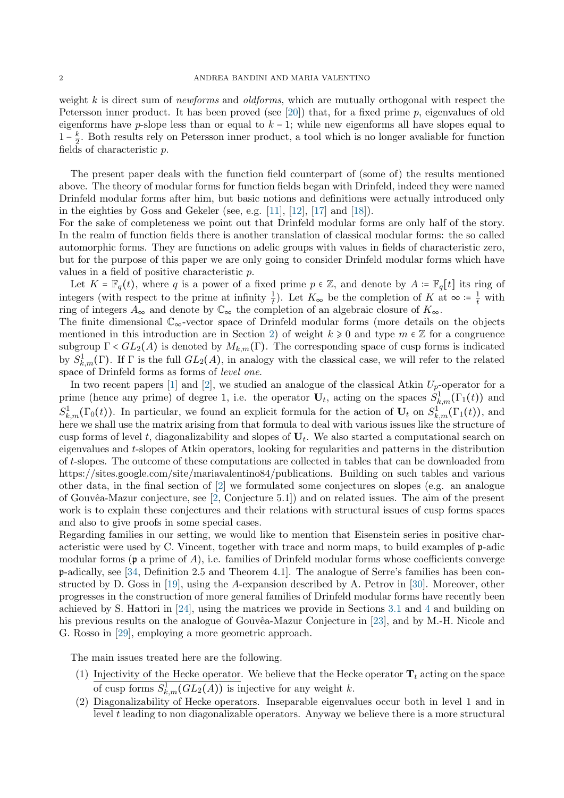weight k is direct sum of *newforms* and *oldforms*, which are mutually orthogonal with respect the Petersson inner product. It has been proved (see [\[20\]](#page-20-4)) that, for a fixed prime  $p$ , eigenvalues of old eigenforms have p-slope less than or equal to  $k - 1$ ; while new eigenforms all have slopes equal to  $1-\frac{k}{2}$  $\frac{k}{2}$ . Both results rely on Petersson inner product, a tool which is no longer avaliable for function fields of characteristic p.

The present paper deals with the function field counterpart of (some of) the results mentioned above. The theory of modular forms for function fields began with Drinfeld, indeed they were named Drinfeld modular forms after him, but basic notions and definitions were actually introduced only in the eighties by Goss and Gekeler (see, e.g. [\[11\]](#page-20-7), [\[12\]](#page-20-8), [\[17\]](#page-20-9) and [\[18\]](#page-20-10)).

For the sake of completeness we point out that Drinfeld modular forms are only half of the story. In the realm of function fields there is another translation of classical modular forms: the so called automorphic forms. They are functions on adelic groups with values in fields of characteristic zero, but for the purpose of this paper we are only going to consider Drinfeld modular forms which have values in a field of positive characteristic p.

Let  $K = \mathbb{F}_q(t)$ , where q is a power of a fixed prime  $p \in \mathbb{Z}$ , and denote by  $A = \mathbb{F}_q[t]$  its ring of integers (with respect to the prime at infinity  $\frac{1}{t}$ ). Let  $K_{\infty}$  be the completion of K at  $\infty = \frac{1}{t}$  $\frac{1}{t}$  with ring of integers  $A_{\infty}$  and denote by  $\mathbb{C}_{\infty}$  the completion of an algebraic closure of  $K_{\infty}$ .

The finite dimensional C∞-vector space of Drinfeld modular forms (more details on the objects mentioned in this introduction are in Section [2\)](#page-2-0) of weight  $k \geq 0$  and type  $m \in \mathbb{Z}$  for a congruence subgroup  $\Gamma < GL_2(A)$  is denoted by  $M_{k,m}(\Gamma)$ . The corresponding space of cusp forms is indicated by  $S^1_{k,m}(\Gamma)$ . If  $\Gamma$  is the full  $GL_2(A)$ , in analogy with the classical case, we will refer to the related space of Drinfeld forms as forms of level one.

In two recent papers [\[1\]](#page-20-11) and [\[2\]](#page-20-12), we studied an analogue of the classical Atkin  $U_p$ -operator for a prime (hence any prime) of degree 1, i.e. the operator  $U_t$ , acting on the spaces  $S^1_{k,m}(\Gamma_1(t))$  and  $S^1_{k,m}(\Gamma_0(t))$ . In particular, we found an explicit formula for the action of  $U_t$  on  $S^1_{k,m}(\Gamma_1(t))$ , and here we shall use the matrix arising from that formula to deal with various issues like the structure of cusp forms of level t, diagonalizability and slopes of  $U_t$ . We also started a computational search on eigenvalues and t-slopes of Atkin operators, looking for regularities and patterns in the distribution of t-slopes. The outcome of these computations are collected in tables that can be downloaded from https://sites.google.com/site/mariavalentino84/publications. Building on such tables and various other data, in the final section of [\[2\]](#page-20-12) we formulated some conjectures on slopes (e.g. an analogue of Gouvêa-Mazur conjecture, see  $[2,$  Conjecture 5.1]) and on related issues. The aim of the present work is to explain these conjectures and their relations with structural issues of cusp forms spaces and also to give proofs in some special cases.

Regarding families in our setting, we would like to mention that Eisenstein series in positive characteristic were used by C. Vincent, together with trace and norm maps, to build examples of p-adic modular forms ( $\mathfrak p$  a prime of A), i.e. families of Drinfeld modular forms whose coefficients converge p-adically, see [\[34,](#page-20-13) Definition 2.5 and Theorem 4.1]. The analogue of Serre's families has been constructed by D. Goss in [\[19\]](#page-20-14), using the A-expansion described by A. Petrov in [\[30\]](#page-20-15). Moreover, other progresses in the construction of more general families of Drinfeld modular forms have recently been achieved by S. Hattori in [\[24\]](#page-20-16), using the matrices we provide in Sections [3.1](#page-8-0) and [4](#page-9-0) and building on his previous results on the analogue of Gouvêa-Mazur Conjecture in [\[23\]](#page-20-17), and by M.-H. Nicole and G. Rosso in [\[29\]](#page-20-18), employing a more geometric approach.

The main issues treated here are the following.

- (1) Injectivity of the Hecke operator. We believe that the Hecke operator  $\mathbf{T}_t$  acting on the space of cusp forms  $S^1_{k,m}(GL_2(A))$  is injective for any weight k.
- (2) Diagonalizability of Hecke operators. Inseparable eigenvalues occur both in level 1 and in level t leading to non diagonalizable operators. Anyway we believe there is a more structural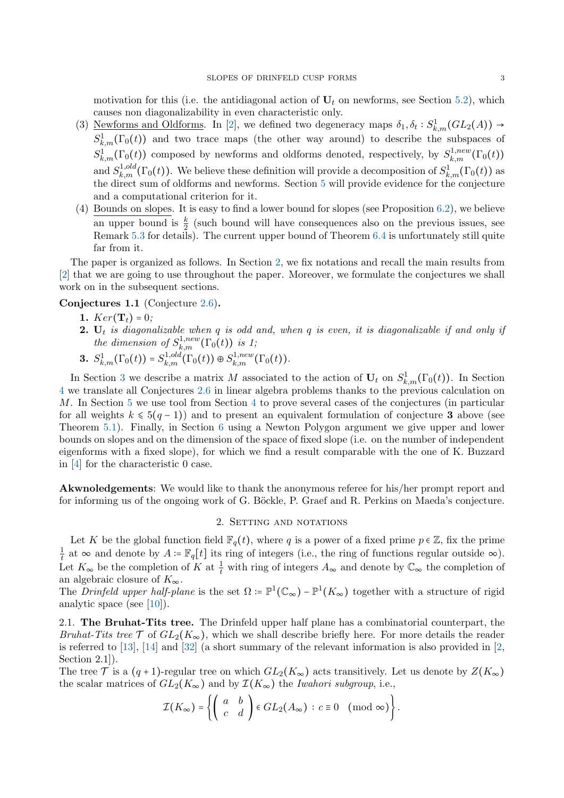motivation for this (i.e. the antidiagonal action of  $U_t$  on newforms, see Section [5.2\)](#page-13-0), which causes non diagonalizability in even characteristic only.

- (3) Newforms and Oldforms. In [\[2\]](#page-20-12), we defined two degeneracy maps  $\delta_1, \delta_t : S^1_{k,m}(GL_2(A)) \to$  $S^1_{k,m}(\Gamma_0(t))$  and two trace maps (the other way around) to describe the subspaces of  $S_{k,m}^1(\Gamma_0(t))$  composed by newforms and oldforms denoted, respectively, by  $S_{k,m}^{1,new}(\Gamma_0(t))$ and  $S_{k,m}^{1,old}(\Gamma_0(t))$ . We believe these definition will provide a decomposition of  $S_{k,m}^1(\Gamma_0(t))$  as the direct sum of oldforms and newforms. Section [5](#page-11-0) will provide evidence for the conjecture and a computational criterion for it.
- (4) Bounds on slopes. It is easy to find a lower bound for slopes (see Proposition [6.2\)](#page-18-0), we believe an upper bound is  $\frac{k}{2}$  (such bound will have consequences also on the previous issues, see Remark [5.3](#page-12-0) for details). The current upper bound of Theorem [6.4](#page-18-1) is unfortunately still quite far from it.

The paper is organized as follows. In Section [2,](#page-2-0) we fix notations and recall the main results from [\[2\]](#page-20-12) that we are going to use throughout the paper. Moreover, we formulate the conjectures we shall work on in the subsequent sections.

Conjectures 1.1 (Conjecture [2.6\)](#page-7-0).

- 1.  $Ker(\mathbf{T}_t) = 0$ ;
- **2.**  $U_t$  is diagonalizable when q is odd and, when q is even, it is diagonalizable if and only if the dimension of  $S^{1,new}_{k,m}(\Gamma_0(t))$  is 1;
- 3.  $S^1_{k,m}(\Gamma_0(t)) = S^{1,old}_{k,m}(\Gamma_0(t)) \oplus S^{1,new}_{k,m}(\Gamma_0(t)).$

In Section [3](#page-7-1) we describe a matrix M associated to the action of  $U_t$  on  $S^1_{k,m}(\Gamma_0(t))$ . In Section [4](#page-9-0) we translate all Conjectures [2.6](#page-7-0) in linear algebra problems thanks to the previous calculation on M. In Section [5](#page-11-0) we use tool from Section [4](#page-9-0) to prove several cases of the conjectures (in particular for all weights  $k \leq 5(q-1)$ ) and to present an equivalent formulation of conjecture 3 above (see Theorem [5.1\)](#page-11-1). Finally, in Section [6](#page-17-0) using a Newton Polygon argument we give upper and lower bounds on slopes and on the dimension of the space of fixed slope (i.e. on the number of independent eigenforms with a fixed slope), for which we find a result comparable with the one of K. Buzzard in [\[4\]](#page-20-19) for the characteristic 0 case.

Akwnoledgements: We would like to thank the anonymous referee for his/her prompt report and for informing us of the ongoing work of G. Böckle, P. Graef and R. Perkins on Maeda's conjecture.

### 2. SETTING AND NOTATIONS

<span id="page-2-0"></span>Let K be the global function field  $\mathbb{F}_q(t)$ , where q is a power of a fixed prime  $p \in \mathbb{Z}$ , fix the prime 1  $\frac{1}{t}$  at  $\infty$  and denote by  $A = \mathbb{F}_q[t]$  its ring of integers (i.e., the ring of functions regular outside  $\infty$ ). Let  $K_{\infty}$  be the completion of K at  $\frac{1}{t}$  with ring of integers  $A_{\infty}$  and denote by  $\mathbb{C}_{\infty}$  the completion of an algebraic closure of  $K_{\infty}$ .

The Drinfeld upper half-plane is the set  $\Omega = \mathbb{P}^1(\mathbb{C}_{\infty}) - \mathbb{P}^1(K_{\infty})$  together with a structure of rigid analytic space (see [\[10\]](#page-20-20)).

2.1. The Bruhat-Tits tree. The Drinfeld upper half plane has a combinatorial counterpart, the Bruhat-Tits tree  $\mathcal T$  of  $GL_2(K_\infty)$ , which we shall describe briefly here. For more details the reader is referred to [\[13\]](#page-20-21), [\[14\]](#page-20-22) and [\[32\]](#page-20-23) (a short summary of the relevant information is also provided in [\[2,](#page-20-12) Section 2.1]).

The tree T is a  $(q+1)$ -regular tree on which  $GL_2(K_{\infty})$  acts transitively. Let us denote by  $Z(K_{\infty})$ the scalar matrices of  $GL_2(K_\infty)$  and by  $\mathcal{I}(K_\infty)$  the *Iwahori subgroup*, i.e.,

$$
\mathcal{I}(K_{\infty}) = \left\{ \left( \begin{array}{cc} a & b \\ c & d \end{array} \right) \in GL_2(A_{\infty}) \, : \, c \equiv 0 \pmod{\infty} \right\}.
$$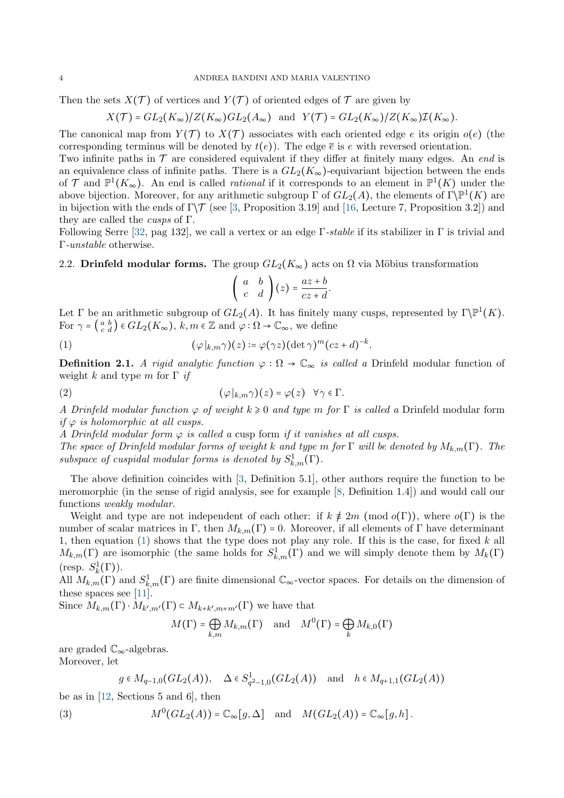Then the sets  $X(\mathcal{T})$  of vertices and  $Y(\mathcal{T})$  of oriented edges of  $\mathcal T$  are given by

$$
X(\mathcal{T}) = GL_2(K_\infty)/Z(K_\infty)GL_2(A_\infty) \text{ and } Y(\mathcal{T}) = GL_2(K_\infty)/Z(K_\infty)\mathcal{I}(K_\infty).
$$

The canonical map from  $Y(T)$  to  $X(T)$  associates with each oriented edge e its origin  $o(e)$  (the corresponding terminus will be denoted by  $t(e)$ ). The edge  $\bar{e}$  is e with reversed orientation.

Two infinite paths in  $\mathcal T$  are considered equivalent if they differ at finitely many edges. An end is an equivalence class of infinite paths. There is a  $GL_2(K_\infty)$ -equivariant bijection between the ends of  $\mathcal{T}$  and  $\mathbb{P}^1(K_\infty)$ . An end is called *rational* if it corresponds to an element in  $\mathbb{P}^1(K)$  under the above bijection. Moreover, for any arithmetic subgroup  $\Gamma$  of  $GL_2(A)$ , the elements of  $\Gamma\backslash\mathbb{P}^1(K)$  are in bijection with the ends of  $\Gamma$ / $\mathcal T$  (see [\[3,](#page-20-24) Proposition 3.19] and [\[16,](#page-20-25) Lecture 7, Proposition 3.2]) and they are called the cusps of Γ.

Following Serre [\[32,](#page-20-23) pag 132], we call a vertex or an edge  $\Gamma$ -stable if its stabilizer in  $\Gamma$  is trivial and Γ-unstable otherwise.

2.2. Drinfeld modular forms. The group  $GL_2(K_{\infty})$  acts on  $\Omega$  via Möbius transformation

<span id="page-3-0"></span>
$$
\left(\begin{array}{cc} a & b \\ c & d \end{array}\right)(z) = \frac{az+b}{cz+d}.
$$

Let  $\Gamma$  be an arithmetic subgroup of  $GL_2(A)$ . It has finitely many cusps, represented by  $\Gamma \backslash \mathbb{P}^1(K)$ . For  $\gamma = \begin{pmatrix} a & b \\ c & d \end{pmatrix} \in GL_2(K_\infty)$ ,  $k, m \in \mathbb{Z}$  and  $\varphi : \Omega \to \mathbb{C}_\infty$ , we define

(1) 
$$
(\varphi|_{k,m}\gamma)(z) \coloneqq \varphi(\gamma z)(\det \gamma)^m (cz+d)^{-k}.
$$

**Definition 2.1.** A rigid analytic function  $\varphi : \Omega \to \mathbb{C}_{\infty}$  is called a Drinfeld modular function of weight k and type m for  $\Gamma$  if

(2) 
$$
(\varphi|_{k,m}\gamma)(z) = \varphi(z) \quad \forall \gamma \in \Gamma.
$$

A Drinfeld modular function  $\varphi$  of weight  $k \geqslant 0$  and type m for  $\Gamma$  is called a Drinfeld modular form if  $\varphi$  is holomorphic at all cusps.

A Drinfeld modular form  $\varphi$  is called a cusp form if it vanishes at all cusps.

The space of Drinfeld modular forms of weight k and type m for  $\Gamma$  will be denoted by  $M_{k,m}(\Gamma)$ . The subspace of cuspidal modular forms is denoted by  $S^1_{k,m}(\Gamma)$ .

The above definition coincides with [\[3,](#page-20-24) Definition 5.1], other authors require the function to be meromorphic (in the sense of rigid analysis, see for example [\[8,](#page-20-26) Definition 1.4]) and would call our functions weakly modular.

Weight and type are not independent of each other: if  $k \neq 2m \pmod{o(\Gamma)}$ , where  $o(\Gamma)$  is the number of scalar matrices in Γ, then  $M_{k,m}(\Gamma) = 0$ . Moreover, if all elements of Γ have determinant 1, then equation [\(1\)](#page-3-0) shows that the type does not play any role. If this is the case, for fixed  $k$  all  $M_{k,m}(\Gamma)$  are isomorphic (the same holds for  $S^1_{k,m}(\Gamma)$  and we will simply denote them by  $M_k(\Gamma)$ (resp.  $S_k^1(\Gamma)$ ).

All  $M_{k,m}(\Gamma)$  and  $S^1_{k,m}(\Gamma)$  are finite dimensional  $\mathbb{C}_{\infty}$ -vector spaces. For details on the dimension of these spaces see [\[11\]](#page-20-7).

Since  $M_{k,m}(\Gamma) \cdot M_{k',m'}(\Gamma) \subset M_{k+k',m+m'}(\Gamma)$  we have that

$$
M(\Gamma) = \bigoplus_{k,m} M_{k,m}(\Gamma) \quad \text{and} \quad M^0(\Gamma) = \bigoplus_k M_{k,0}(\Gamma)
$$

are graded  $\mathbb{C}_{\infty}$ -algebras.

Moreover, let

$$
g \in M_{q-1,0}(GL_2(A)), \quad \Delta \in S_{q^2-1,0}^1(GL_2(A)) \quad \text{and} \quad h \in M_{q+1,1}(GL_2(A))
$$

be as in  $[12, \text{Sections } 5 \text{ and } 6]$ , then

(3) 
$$
M^0(GL_2(A)) = \mathbb{C}_{\infty}[g,\Delta] \text{ and } M(GL_2(A)) = \mathbb{C}_{\infty}[g,h].
$$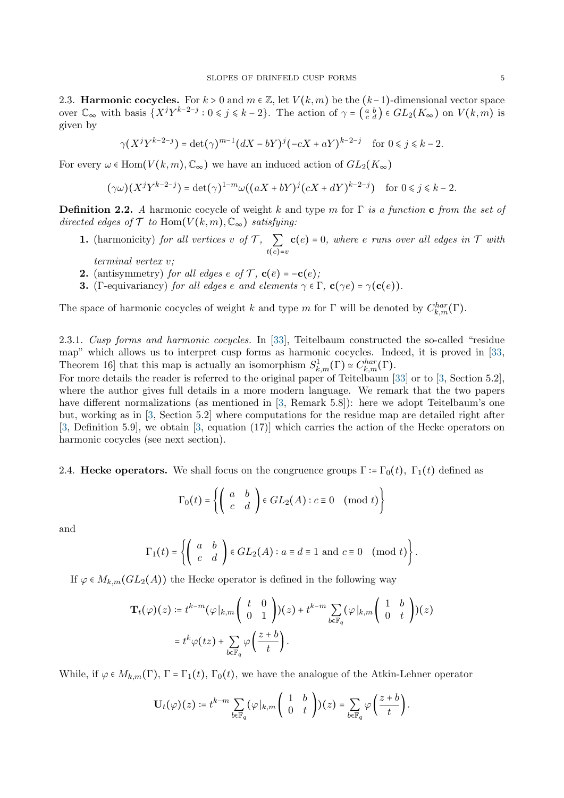2.3. **Harmonic cocycles.** For  $k > 0$  and  $m \in \mathbb{Z}$ , let  $V(k, m)$  be the  $(k-1)$ -dimensional vector space over  $\mathbb{C}_{\infty}$  with basis  $\{X^{j}Y^{k-2-j}: 0 \leq j \leq k-2\}$ . The action of  $\gamma = \begin{pmatrix} a & b \\ c & d \end{pmatrix} \in GL_2(K_{\infty})$  on  $V(k,m)$  is given by

 $\gamma(X^{j}Y^{k-2-j}) = \det(\gamma)^{m-1}(dX - bY)^{j}(-cX + aY)^{k-2-j}$  for  $0 \le j \le k - 2$ .

For every  $\omega \in \text{Hom}(V(k,m), \mathbb{C}_{\infty})$  we have an induced action of  $GL_2(K_{\infty})$ 

$$
(\gamma \omega)(X^j Y^{k-2-j}) = \det(\gamma)^{1-m} \omega((aX + bY)^j (cX + dY)^{k-2-j}) \quad \text{for } 0 \le j \le k-2.
$$

**Definition 2.2.** A harmonic cocycle of weight k and type m for  $\Gamma$  is a function c from the set of directed edges of  $\mathcal T$  to Hom $(V(k, m), \mathbb{C}_{\infty})$  satisfying:

- **1.** (harmonicity) for all vertices v of  $\mathcal{T}$ ,  $\sum$  $t(e)=v$  $c(e) = 0$ , where e runs over all edges in  $\mathcal T$  with
	- terminal vertex v;
- 2. (antisymmetry) for all edges e of  $\mathcal{T}$ ,  $\mathbf{c}(\overline{e}) = -\mathbf{c}(e)$ ;
- **3.** (Γ-equivariancy) for all edges e and elements  $\gamma \in \Gamma$ ,  $\mathbf{c}(\gamma e) = \gamma(\mathbf{c}(e))$ .

The space of harmonic cocycles of weight k and type m for  $\Gamma$  will be denoted by  $C_{k,m}^{har}(\Gamma)$ .

<span id="page-4-0"></span>2.3.1. Cusp forms and harmonic cocycles. In [\[33\]](#page-20-27), Teitelbaum constructed the so-called "residue map" which allows us to interpret cusp forms as harmonic cocycles. Indeed, it is proved in [\[33,](#page-20-27) Theorem 16] that this map is actually an isomorphism  $S^1_{k,m}(\Gamma) \simeq C^{har}_{k,m}(\Gamma)$ .

For more details the reader is referred to the original paper of Teitelbaum [\[33\]](#page-20-27) or to [\[3,](#page-20-24) Section 5.2], where the author gives full details in a more modern language. We remark that the two papers have different normalizations (as mentioned in [\[3,](#page-20-24) Remark 5.8]): here we adopt Teitelbaum's one but, working as in [\[3,](#page-20-24) Section 5.2] where computations for the residue map are detailed right after [\[3,](#page-20-24) Definition 5.9], we obtain [\[3,](#page-20-24) equation (17)] which carries the action of the Hecke operators on harmonic cocycles (see next section).

2.4. Hecke operators. We shall focus on the congruence groups  $\Gamma = \Gamma_0(t)$ ,  $\Gamma_1(t)$  defined as

$$
\Gamma_0(t) = \left\{ \left( \begin{array}{cc} a & b \\ c & d \end{array} \right) \in GL_2(A) : c \equiv 0 \pmod{t} \right\}
$$

and

$$
\Gamma_1(t) = \left\{ \left( \begin{array}{cc} a & b \\ c & d \end{array} \right) \in GL_2(A) : a \equiv d \equiv 1 \text{ and } c \equiv 0 \pmod{t} \right\}.
$$

If  $\varphi \in M_{k,m}(GL_2(A))$  the Hecke operator is defined in the following way

$$
\mathbf{T}_t(\varphi)(z) \coloneqq t^{k-m}(\varphi|_{k,m}\left(\begin{array}{cc} t & 0 \\ 0 & 1 \end{array}\right))(z) + t^{k-m}\sum_{b\in \mathbb{F}_q} (\varphi|_{k,m}\left(\begin{array}{cc} 1 & b \\ 0 & t \end{array}\right))(z)
$$

$$
= t^k \varphi(tz) + \sum_{b\in \mathbb{F}_q} \varphi\left(\frac{z+b}{t}\right).
$$

While, if  $\varphi \in M_{k,m}(\Gamma)$ ,  $\Gamma = \Gamma_1(t)$ ,  $\Gamma_0(t)$ , we have the analogue of the Atkin-Lehner operator

$$
\mathbf{U}_t(\varphi)(z) \coloneqq t^{k-m} \sum_{b \in \mathbb{F}_q} (\varphi|_{k,m} \left( \begin{array}{cc} 1 & b \\ 0 & t \end{array} \right))(z) = \sum_{b \in \mathbb{F}_q} \varphi \left( \frac{z+b}{t} \right).
$$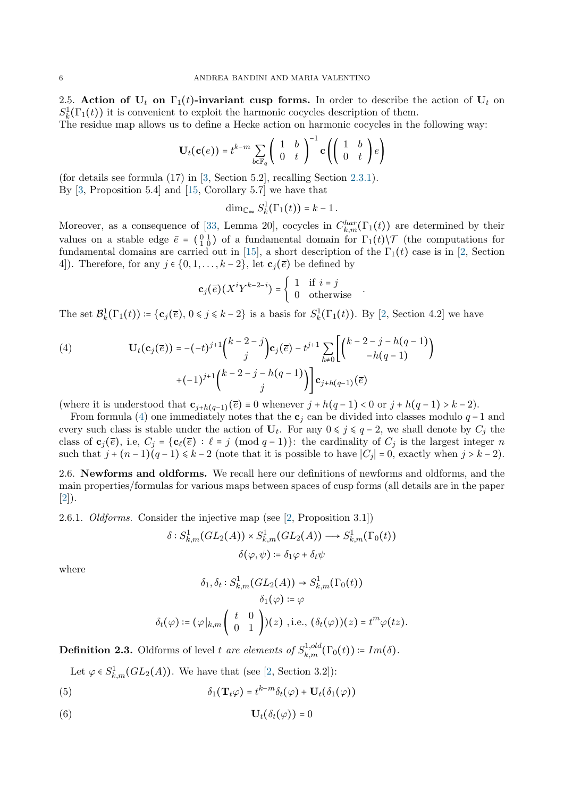2.5. Action of  $U_t$  on  $\Gamma_1(t)$ -invariant cusp forms. In order to describe the action of  $U_t$  on  $S_k^1(\Gamma_1(t))$  it is convenient to exploit the harmonic cocycles description of them.

The residue map allows us to define a Hecke action on harmonic cocycles in the following way:

$$
\mathbf{U}_t(\mathbf{c}(e)) = t^{k-m} \sum_{b \in \mathbb{F}_q} \begin{pmatrix} 1 & b \\ 0 & t \end{pmatrix}^{-1} \mathbf{c} \left( \begin{pmatrix} 1 & b \\ 0 & t \end{pmatrix} e \right)
$$

(for details see formula (17) in [\[3,](#page-20-24) Section 5.2], recalling Section [2.3.1\)](#page-4-0). By [\[3,](#page-20-24) Proposition 5.4] and [\[15,](#page-20-28) Corollary 5.7] we have that

 $\dim_{\mathbb{C}_{\infty}} S^1_k(\Gamma_1(t)) = k - 1$ .

Moreover, as a consequence of [\[33,](#page-20-27) Lemma 20], cocycles in  $C_{k,m}^{har}(\Gamma_1(t))$  are determined by their values on a stable edge  $\bar{e} = \begin{pmatrix} 0 & 1 \\ 1 & 0 \end{pmatrix}$  of a fundamental domain for  $\Gamma_1(t)\setminus\mathcal{T}$  (the computations for fundamental domains are carried out in [\[15\]](#page-20-28), a short description of the  $\Gamma_1(t)$  case is in [\[2,](#page-20-12) Section 4]). Therefore, for any  $j \in \{0, 1, \ldots, k-2\}$ , let  $\mathbf{c}_i(\overline{e})$  be defined by

$$
\mathbf{c}_j(\overline{e})(X^iY^{k-2-i}) = \begin{cases} 1 & \text{if } i = j \\ 0 & \text{otherwise} \end{cases}.
$$

The set  $\mathcal{B}_{k}^{1}(\Gamma_{1}(t)) \coloneqq {\mathbf{c}_{j}(\bar{e}), 0 \leq j \leq k-2}$  is a basis for  $S_{k}^{1}(\Gamma_{1}(t))$ . By [\[2,](#page-20-12) Section 4.2] we have

<span id="page-5-0"></span>(4) 
$$
\mathbf{U}_{t}(\mathbf{c}_{j}(\overline{e})) = -(-t)^{j+1} {k-2-j \choose j} \mathbf{c}_{j}(\overline{e}) - t^{j+1} \sum_{h \neq 0} \left[ {k-2-j-h(q-1) \choose -h(q-1)} + (-1)^{j+1} {k-2-j-h(q-1) \choose j} \right] \mathbf{c}_{j+h(q-1)}(\overline{e})
$$

(where it is understood that  $\mathbf{c}_{j+h(q-1)}(\overline{e}) \equiv 0$  whenever  $j + h(q-1) < 0$  or  $j + h(q-1) > k-2$ ).

From formula [\(4\)](#page-5-0) one immediately notes that the  $c_j$  can be divided into classes modulo  $q-1$  and every such class is stable under the action of  $U_t$ . For any  $0 \leq j \leq q-2$ , we shall denote by  $C_j$  the class of  $\mathbf{c}_j(\overline{e})$ , i.e,  $C_j = {\mathbf{c}_\ell(\overline{e}) : \ell \equiv j \pmod{q-1}}$ : the cardinality of  $C_j$  is the largest integer n such that  $j + (n-1)(q-1) \leq k-2$  (note that it is possible to have  $|C_j| = 0$ , exactly when  $j > k-2$ ).

2.6. Newforms and oldforms. We recall here our definitions of newforms and oldforms, and the main properties/formulas for various maps between spaces of cusp forms (all details are in the paper [\[2\]](#page-20-12)).

2.6.1. Oldforms. Consider the injective map (see [\[2,](#page-20-12) Proposition 3.1])

$$
\delta: S^1_{k,m}(GL_2(A)) \times S^1_{k,m}(GL_2(A)) \longrightarrow S^1_{k,m}(\Gamma_0(t))
$$

$$
\delta(\varphi, \psi) \coloneqq \delta_1 \varphi + \delta_t \psi
$$

where

<span id="page-5-2"></span><span id="page-5-1"></span>
$$
\delta_1, \delta_t: S^1_{k,m}(GL_2(A)) \to S^1_{k,m}(\Gamma_0(t))
$$

$$
\delta_1(\varphi) \coloneqq \varphi
$$

$$
\delta_t(\varphi) \coloneqq (\varphi|_{k,m} \begin{pmatrix} t & 0 \\ 0 & 1 \end{pmatrix})(z) , i.e., (\delta_t(\varphi))(z) = t^m \varphi(tz).
$$

**Definition 2.3.** Oldforms of level t are elements of  $S_{k,m}^{1,old}(\Gamma_0(t)) \coloneqq Im(\delta)$ .

Let  $\varphi \in S^1_{k,m}(GL_2(A))$ . We have that (see [\[2,](#page-20-12) Section 3.2]):

(5) 
$$
\delta_1(\mathbf{T}_t\varphi) = t^{k-m}\delta_t(\varphi) + \mathbf{U}_t(\delta_1(\varphi))
$$

$$
\mathbf{U}_t(\delta_t(\varphi)) = 0
$$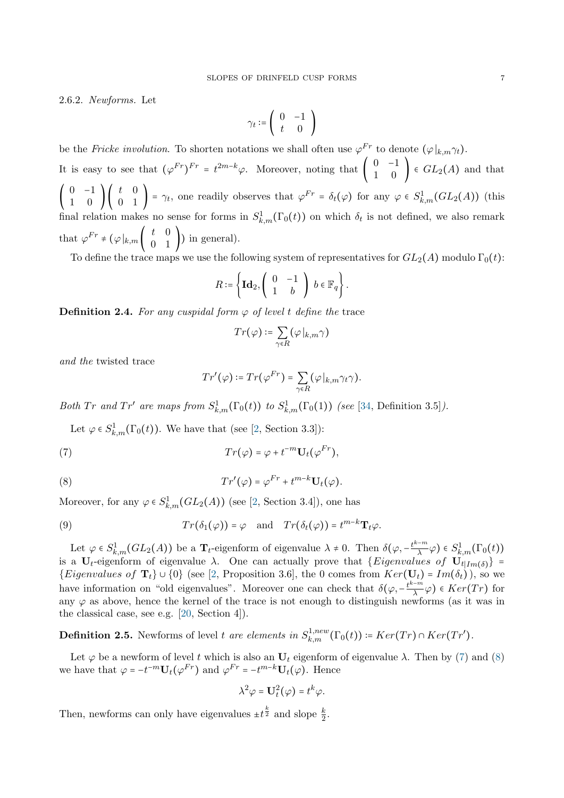2.6.2. Newforms. Let

$$
\gamma_t \coloneqq \left( \begin{array}{cc} 0 & -1 \\ t & 0 \end{array} \right)
$$

be the Fricke involution. To shorten notations we shall often use  $\varphi^{Fr}$  to denote  $(\varphi|_{k,m}\gamma_t)$ . It is easy to see that  $(\varphi^{Fr})^{Fr} = t^{2m-k}\varphi$ . Moreover, noting that  $\begin{pmatrix} 0 & -1 \\ 1 & 0 \end{pmatrix} \in GL_2(A)$  and that  $\begin{pmatrix} 0 & -1 \\ 1 & 0 \end{pmatrix} \begin{pmatrix} t & 0 \\ 0 & 1 \end{pmatrix} = \gamma_t$ , one readily observes that  $\varphi^{Fr} = \delta_t(\varphi)$  for any  $\varphi \in S^1_{k,m}(GL_2(A))$  (this final relation makes no sense for forms in  $S^1_{k,m}(\Gamma_0(t))$  on which  $\delta_t$  is not defined, we also remark that  $\varphi^{Fr} \neq (\varphi|_{k,m} \begin{pmatrix} t & 0 \\ 0 & 1 \end{pmatrix})$  in general).

To define the trace maps we use the following system of representatives for  $GL_2(A)$  modulo  $\Gamma_0(t)$ :

$$
R \coloneqq \left\{ \mathbf{Id}_2, \left( \begin{array}{cc} 0 & -1 \\ 1 & b \end{array} \right) \; b \in \mathbb{F}_q \right\}.
$$

**Definition 2.4.** For any cuspidal form  $\varphi$  of level t define the trace

$$
Tr(\varphi)\coloneqq \sum_{\gamma\in R} (\varphi\!\mid_{k,m} \!\gamma)
$$

and the twisted trace

<span id="page-6-1"></span><span id="page-6-0"></span>
$$
Tr'(\varphi) \coloneqq Tr(\varphi^{Fr}) = \sum_{\gamma \in R} (\varphi |_{k,m} \gamma_t \gamma).
$$

Both Tr and Tr' are maps from  $S^1_{k,m}(\Gamma_0(t))$  to  $S^1_{k,m}(\Gamma_0(1))$  (see [\[34,](#page-20-13) Definition 3.5]).

Let  $\varphi \in S^1_{k,m}(\Gamma_0(t))$ . We have that (see [\[2,](#page-20-12) Section 3.3]):

(7) 
$$
Tr(\varphi) = \varphi + t^{-m} \mathbf{U}_t(\varphi^{Fr}),
$$

(8) 
$$
Tr'(\varphi) = \varphi^{Fr} + t^{m-k} U_t(\varphi).
$$

Moreover, for any  $\varphi \in S^1_{k,m}(GL_2(A))$  (see [\[2,](#page-20-12) Section 3.4]), one has

<span id="page-6-2"></span>(9) 
$$
Tr(\delta_1(\varphi)) = \varphi
$$
 and  $Tr(\delta_t(\varphi)) = t^{m-k} \mathbf{T}_t \varphi$ .

Let  $\varphi \in S^1_{k,m}(GL_2(A))$  be a  $\mathbf{T}_t$ -eigenform of eigenvalue  $\lambda \neq 0$ . Then  $\delta(\varphi, -\frac{t^{k-m}}{\lambda})$  $(\frac{m}{\lambda},\varphi)\in S^1_{k,m}(\Gamma_0(t))$ is a U<sub>t</sub>-eigenform of eigenvalue  $\lambda$ . One can actually prove that {*Eigenvalues of*  $U_{t|Im(\delta)}$ } =  ${Eigenvalues of T_t} \cup {0}$  (see [\[2,](#page-20-12) Proposition 3.6], the 0 comes from  $Ker(U_t) = Im(\delta_t)$ ), so we have information on "old eigenvalues". Moreover one can check that  $\delta(\varphi, -\frac{t^{k-m}}{\lambda})$  $\frac{m}{\lambda}$  $\varphi$ )  $\in$   $Ker(Tr)$  for any  $\varphi$  as above, hence the kernel of the trace is not enough to distinguish newforms (as it was in the classical case, see e.g. [\[20,](#page-20-4) Section 4]).

<span id="page-6-3"></span>**Definition 2.5.** Newforms of level t are elements in  $S_{k,m}^{1,new}(\Gamma_0(t)) \coloneqq Ker(Tr) \cap Ker(Tr')$ .

Let  $\varphi$  be a newform of level t which is also an  $U_t$  eigenform of eigenvalue  $\lambda$ . Then by [\(7\)](#page-6-0) and [\(8\)](#page-6-1) we have that  $\varphi = -t^{-m} \mathbf{U}_t(\varphi^{Fr})$  and  $\varphi^{Fr} = -t^{m-k} \mathbf{U}_t(\varphi)$ . Hence

$$
\lambda^2 \varphi = \mathbf{U}_t^2(\varphi) = t^k \varphi.
$$

Then, newforms can only have eigenvalues  $\pm t^{\frac{k}{2}}$  and slope  $\frac{k}{2}$ .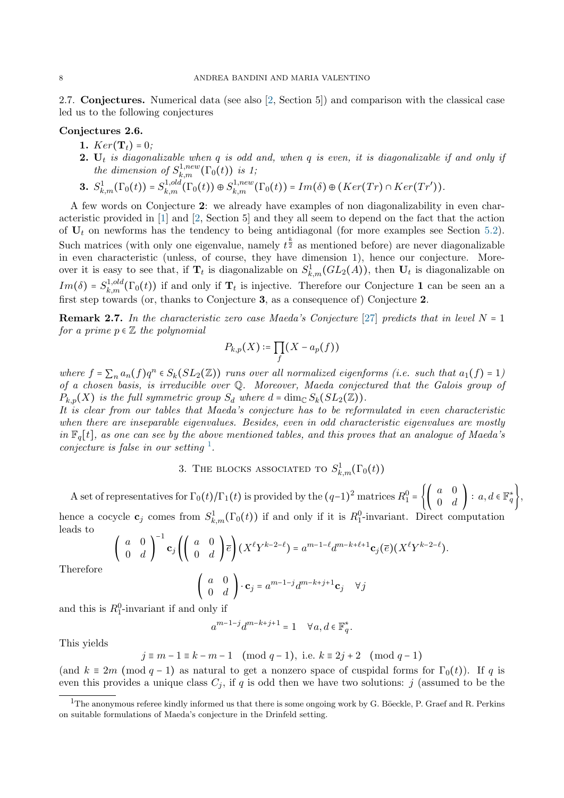2.7. Conjectures. Numerical data (see also [\[2,](#page-20-12) Section 5]) and comparison with the classical case led us to the following conjectures

## <span id="page-7-0"></span>Conjectures 2.6.

- 1.  $Ker(T_t) = 0$ :
- **2.**  $U_t$  is diagonalizable when q is odd and, when q is even, it is diagonalizable if and only if the dimension of  $S^{1,new}_{k,m}(\Gamma_0(t))$  is 1;
- 3.  $S^1_{k,m}(\Gamma_0(t)) = S^{1,old}_{k,m}(\Gamma_0(t)) \oplus S^{1,new}_{k,m}(\Gamma_0(t)) = Im(\delta) \oplus (Ker(Tr) \cap Ker(Tr')).$

A few words on Conjecture 2: we already have examples of non diagonalizability in even characteristic provided in [\[1\]](#page-20-11) and [\[2,](#page-20-12) Section 5] and they all seem to depend on the fact that the action of  $U_t$  on newforms has the tendency to being antidiagonal (for more examples see Section [5.2\)](#page-13-0). Such matrices (with only one eigenvalue, namely  $t^{\frac{k}{2}}$  as mentioned before) are never diagonalizable in even characteristic (unless, of course, they have dimension 1), hence our conjecture. Moreover it is easy to see that, if  $T_t$  is diagonalizable on  $S^1_{k,m}(GL_2(A))$ , then  $U_t$  is diagonalizable on  $Im(\delta) = S_{k,m}^{1,old}(\Gamma_0(t))$  if and only if  $\mathbf{T}_t$  is injective. Therefore our Conjecture 1 can be seen an a first step towards (or, thanks to Conjecture 3, as a consequence of) Conjecture 2.

**Remark 2.7.** In the characteristic zero case Maeda's Conjecture [\[27\]](#page-20-29) predicts that in level  $N = 1$ for a prime  $p \in \mathbb{Z}$  the polynomial

$$
P_{k,p}(X) \coloneqq \prod_f (X - a_p(f))
$$

where  $f = \sum_n a_n(f)q^n \in S_k(SL_2(\mathbb{Z}))$  runs over all normalized eigenforms (i.e. such that  $a_1(f) = 1$ ) of a chosen basis, is irreducible over Q. Moreover, Maeda conjectured that the Galois group of  $P_{k,p}(X)$  is the full symmetric group  $S_d$  where  $d = \dim_{\mathbb{C}} S_k(SL_2(\mathbb{Z}))$ .

It is clear from our tables that Maeda's conjecture has to be reformulated in even characteristic when there are inseparable eigenvalues. Besides, even in odd characteristic eigenvalues are mostly in  $\mathbb{F}_q[t]$ , as one can see by the above mentioned tables, and this proves that an analogue of Maeda's conjecture is false in our setting  $\frac{1}{n}$  $\frac{1}{n}$  $\frac{1}{n}$ .

3. THE BLOCKS ASSOCIATED TO  $S^1_{k,m}(\Gamma_0(t))$ 

<span id="page-7-1"></span>A set of representatives for  $\Gamma_0(t)/\Gamma_1(t)$  is provided by the  $(q-1)^2$  matrices  $R_1^0 = \left\{ \left( \begin{array}{cc} a & 0 \\ 0 & d \end{array} \right) : a, d \in \mathbb{F}_q^* \right\},\$ 

hence a cocycle  $\mathbf{c}_j$  comes from  $S^1_{k,m}(\Gamma_0(t))$  if and only if it is  $R_1^0$ -invariant. Direct computation leads to

$$
\begin{pmatrix} a & 0 \ 0 & d \end{pmatrix}^{-1} \mathbf{c}_j \left( \begin{pmatrix} a & 0 \ 0 & d \end{pmatrix} \overline{e} \right) (X^{\ell} Y^{k-2-\ell}) = a^{m-1-\ell} d^{m-k+\ell+1} \mathbf{c}_j(\overline{e}) (X^{\ell} Y^{k-2-\ell}).
$$

Therefore

$$
\left(\begin{array}{cc} a & 0\\ 0 & d \end{array}\right) \cdot \mathbf{c}_j = a^{m-1-j} d^{m-k+j+1} \mathbf{c}_j \quad \forall j
$$

and this is  $R_1^0$ -invariant if and only if

$$
a^{m-1-j}d^{m-k+j+1} = 1 \quad \forall a, d \in \mathbb{F}_q^*.
$$

This yields

 $j \equiv m - 1 \equiv k - m - 1 \pmod{q - 1}$ , i.e.  $k \equiv 2j + 2 \pmod{q - 1}$ 

(and  $k \equiv 2m \pmod{q-1}$  as natural to get a nonzero space of cuspidal forms for  $\Gamma_0(t)$ ). If q is even this provides a unique class  $C_i$ , if q is odd then we have two solutions: j (assumed to be the

<span id="page-7-2"></span> $1$ The anonymous referee kindly informed us that there is some ongoing work by G. Böeckle, P. Graef and R. Perkins on suitable formulations of Maeda's conjecture in the Drinfeld setting.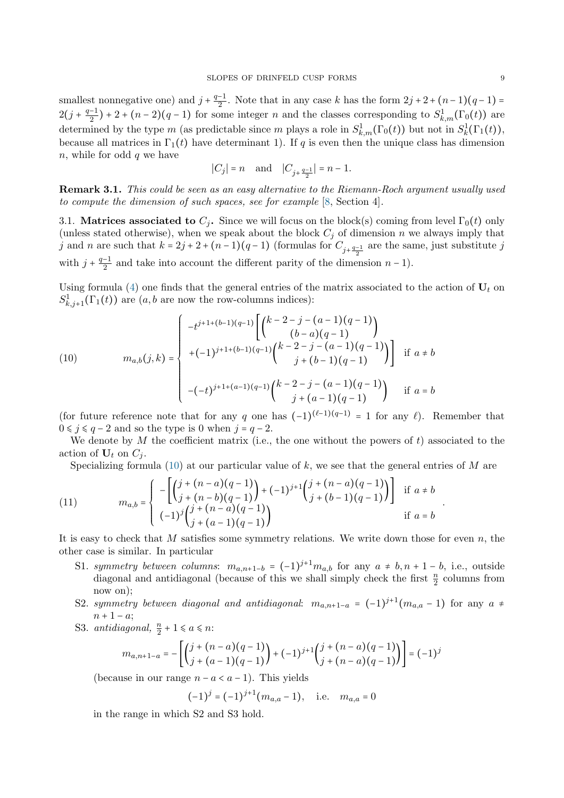smallest nonnegative one) and  $j + \frac{q-1}{2}$  $\frac{-1}{2}$ . Note that in any case k has the form  $2j + 2 + (n-1)(q-1) =$  $2(j+\frac{q-1}{2})$  $\frac{(-1)}{2}$  + 2 +  $(n-2)(q-1)$  for some integer n and the classes corresponding to  $S^1_{k,m}(\Gamma_0(t))$  are determined by the type m (as predictable since m plays a role in  $S^1_{k,m}(\Gamma_0(t))$  but not in  $S^1_k(\Gamma_1(t))$ , because all matrices in  $\Gamma_1(t)$  have determinant 1). If q is even then the unique class has dimension  $n$ , while for odd  $q$  we have

$$
|C_j|=n \quad \text{and} \quad |C_{j+\frac{q-1}{2}}|=n-1.
$$

Remark 3.1. This could be seen as an easy alternative to the Riemann-Roch argument usually used to compute the dimension of such spaces, see for example [\[8,](#page-20-26) Section 4].

<span id="page-8-0"></span>3.1. Matrices associated to  $C_i$ . Since we will focus on the block(s) coming from level  $\Gamma_0(t)$  only (unless stated otherwise), when we speak about the block  $C_j$  of dimension n we always imply that j and n are such that  $k = 2j + 2 + (n-1)(q-1)$  (formulas for  $C_{j+\frac{q-1}{2}}$  are the same, just substitute j with  $j + \frac{q-1}{2}$  $\frac{-1}{2}$  and take into account the different parity of the dimension  $n-1$ ).

Using formula [\(4\)](#page-5-0) one finds that the general entries of the matrix associated to the action of  $U_t$  on  $S^1_{k,j+1}(\Gamma_1(t))$  are  $(a, b$  are now the row-columns indices):

<span id="page-8-1"></span>(10) 
$$
m_{a,b}(j,k) = \begin{cases}\n-t^{j+1+(b-1)(q-1)} \left[ \binom{k-2-j-(a-1)(q-1)}{(b-a)(q-1)} \binom{k-2-j-(a-1)(q-1)}{j+(b-1)(q-1)} \right] & \text{if } a \neq b \\
-(-t)^{j+1+(a-1)(q-1)} \binom{k-2-j-(a-1)(q-1)}{j+(a-1)(q-1)} & \text{if } a = b\n\end{cases}
$$

(for future reference note that for any q one has  $(-1)^{(\ell-1)(q-1)} = 1$  for any  $\ell$ ). Remember that  $0 \leq j \leq q - 2$  and so the type is 0 when  $j = q - 2$ .

We denote by  $M$  the coefficient matrix (i.e., the one without the powers of  $t$ ) associated to the action of  $U_t$  on  $C_i$ .

Specializing formula [\(10\)](#page-8-1) at our particular value of  $k$ , we see that the general entries of  $M$  are

(11) 
$$
m_{a,b} = \begin{cases} -\left[ \binom{j+(n-a)(q-1)}{j+(n-b)(q-1)} + (-1)^{j+1} \binom{j+(n-a)(q-1)}{j+(b-1)(q-1)} \right] & \text{if } a \neq b \\ (-1)^{j} \binom{j+(n-a)(q-1)}{j+(a-1)(q-1)} & \text{if } a = b \end{cases}
$$

It is easy to check that M satisfies some symmetry relations. We write down those for even  $n$ , the other case is similar. In particular

- S1. symmetry between columns:  $m_{a,n+1-b} = (-1)^{j+1} m_{a,b}$  for any  $a \neq b, n+1-b$ , i.e., outside diagonal and antidiagonal (because of this we shall simply check the first  $\frac{n}{2}$  columns from now on);
- S2. symmetry between diagonal and antidiagonal:  $m_{a,n+1-a} = (-1)^{j+1}(m_{a,a}-1)$  for any  $a \neq$  $n + 1 - a;$
- S3. antidiagonal,  $\frac{n}{2} + 1 \le a \le n$ :

$$
m_{a,n+1-a} = -\left[ \binom{j+(n-a)(q-1)}{j+(a-1)(q-1)} + (-1)^{j+1} \binom{j+(n-a)(q-1)}{j+(n-a)(q-1)} \right] = (-1)^j
$$

(because in our range  $n - a < a - 1$ ). This yields

$$
(-1)^j = (-1)^{j+1}(m_{a,a} - 1),
$$
 i.e.  $m_{a,a} = 0$ 

in the range in which S2 and S3 hold.

.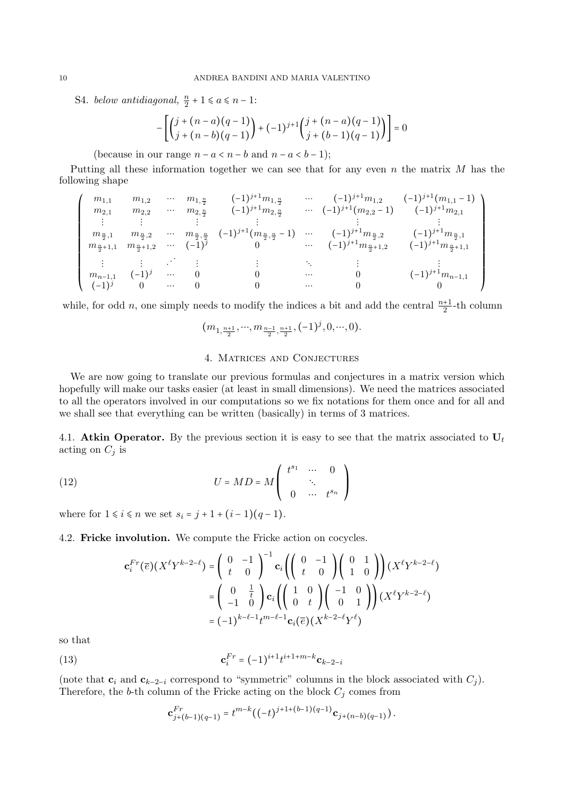S4. below antidiagonal,  $\frac{n}{2} + 1 \leq a \leq n - 1$ :

$$
-\left[\binom{j+(n-a)(q-1)}{j+(n-b)(q-1)} + (-1)^{j+1}\binom{j+(n-a)(q-1)}{j+(b-1)(q-1)}\right] = 0
$$

(because in our range  $n - a < n - b$  and  $n - a < b - 1$ );

Putting all these information together we can see that for any even n the matrix M has the following shape

$$
\left(\begin{array}{ccccccccc} m_{1,1} & m_{1,2} & \cdots & m_{1,\frac{n}{2}} & (-1)^{j+1}m_{1,\frac{n}{2}} & \cdots & (-1)^{j+1}m_{1,2} & (-1)^{j+1}(m_{1,1}-1) \\ m_{2,1} & m_{2,2} & \cdots & m_{2,\frac{n}{2}} & (-1)^{j+1}m_{2,\frac{n}{2}} & \cdots & (-1)^{j+1}(m_{2,2}-1) & (-1)^{j+1}m_{2,1} \\ \vdots & \vdots & \vdots & \vdots & \vdots & \vdots & \vdots \\ m_{\frac{n}{2},1} & m_{\frac{n}{2},2} & \cdots & m_{\frac{n}{2},\frac{n}{2}} & (-1)^{j+1}(m_{\frac{n}{2},\frac{n}{2}}-1) & \cdots & (-1)^{j+1}m_{\frac{n}{2},2} & (-1)^{j+1}m_{\frac{n}{2},1} \\ m_{\frac{n}{2}+1,1} & m_{\frac{n}{2}+1,2} & \cdots & (-1)^{j} & 0 & \cdots & (-1)^{j+1}m_{\frac{n}{2}+1,2} & (-1)^{j+1}m_{\frac{n}{2}+1,1} \\ \vdots & \vdots & \vdots & \ddots & \vdots & \vdots & \ddots & \vdots & \vdots \\ m_{n-1,1} & (-1)^{j} & 0 & \cdots & 0 & 0 & \cdots & 0 & (1)^{j+1}m_{n-1,1} \\ (-1)^{j} & 0 & \cdots & 0 & 0 & \cdots & 0 & 0 \\ \end{array}\right)
$$

while, for odd *n*, one simply needs to modify the indices a bit and add the central  $\frac{n+1}{2}$ -th column

$$
(m_{1,\frac{n+1}{2}},\cdots,m_{\frac{n-1}{2},\frac{n+1}{2}},(-1)^j,0,\cdots,0).
$$

## 4. Matrices and Conjectures

<span id="page-9-0"></span>We are now going to translate our previous formulas and conjectures in a matrix version which hopefully will make our tasks easier (at least in small dimensions). We need the matrices associated to all the operators involved in our computations so we fix notations for them once and for all and we shall see that everything can be written (basically) in terms of 3 matrices.

4.1. Atkin Operator. By the previous section it is easy to see that the matrix associated to  $U_t$ acting on  $C_i$  is

(12) 
$$
U = MD = M \begin{pmatrix} t^{s_1} & \cdots & 0 \\ & \ddots & \\ 0 & \cdots & t^{s_n} \end{pmatrix}
$$

where for  $1 \le i \le n$  we set  $s_i = j + 1 + (i - 1)(q - 1)$ .

4.2. Fricke involution. We compute the Fricke action on cocycles.

$$
\mathbf{c}_{i}^{Fr}(\overline{e})(X^{\ell}Y^{k-2-\ell}) = \begin{pmatrix} 0 & -1 \\ t & 0 \end{pmatrix}^{-1}\mathbf{c}_{i}\left(\begin{pmatrix} 0 & -1 \\ t & 0 \end{pmatrix}\begin{pmatrix} 0 & 1 \\ 1 & 0 \end{pmatrix}\right)(X^{\ell}Y^{k-2-\ell})
$$

$$
= \begin{pmatrix} 0 & \frac{1}{t} \\ -1 & 0 \end{pmatrix}\mathbf{c}_{i}\left(\begin{pmatrix} 1 & 0 \\ 0 & t \end{pmatrix}\begin{pmatrix} -1 & 0 \\ 0 & 1 \end{pmatrix}\right)(X^{\ell}Y^{k-2-\ell})
$$

$$
= (-1)^{k-\ell-1}t^{m-\ell-1}\mathbf{c}_{i}(\overline{e})(X^{k-2-\ell}Y^{\ell})
$$

so that

(13) 
$$
\mathbf{c}_{i}^{Fr} = (-1)^{i+1} t^{i+1+m-k} \mathbf{c}_{k-2-i}
$$

(note that  $c_i$  and  $c_{k-2-i}$  correspond to "symmetric" columns in the block associated with  $C_i$ ). Therefore, the b-th column of the Fricke acting on the block  $C_j$  comes from

<span id="page-9-1"></span>
$$
\mathbf{c}_{j+(b-1)(q-1)}^{Fr} = t^{m-k} \big( (-t)^{j+1+(b-1)(q-1)} \mathbf{c}_{j+(n-b)(q-1)} \big).
$$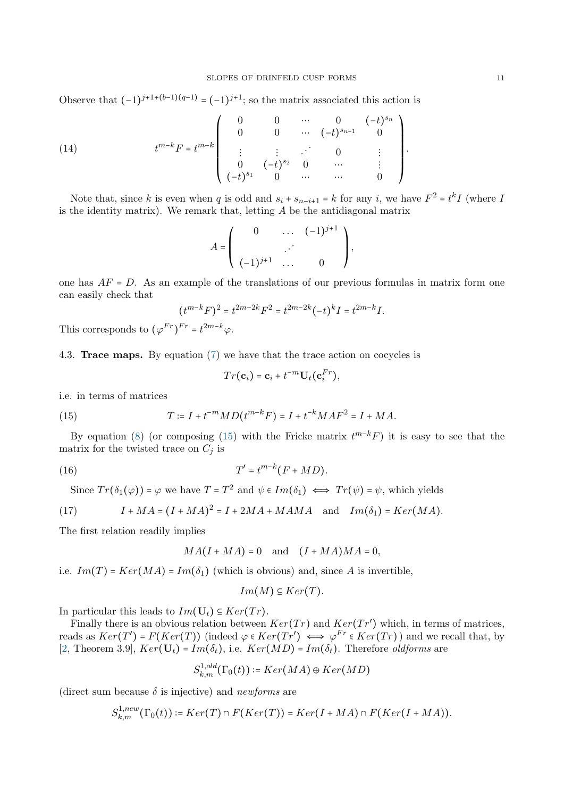Observe that  $(-1)^{j+1+(b-1)(q-1)} = (-1)^{j+1}$ ; so the matrix associated this action is

(14) 
$$
t^{m-k}F = t^{m-k} \begin{pmatrix} 0 & 0 & \cdots & 0 & (-t)^{s_n} \\ 0 & 0 & \cdots & (-t)^{s_{n-1}} & 0 \\ \vdots & \vdots & \ddots & 0 & \vdots \\ 0 & (-t)^{s_2} & 0 & \cdots & \vdots \\ (-t)^{s_1} & 0 & \cdots & \cdots & 0 \end{pmatrix}
$$

Note that, since k is even when q is odd and  $s_i + s_{n-i+1} = k$  for any i, we have  $F^2 = t^k I$  (where I is the identity matrix). We remark that, letting  $A$  be the antidiagonal matrix

$$
A = \left( \begin{array}{ccc} 0 & \dots & (-1)^{j+1} \\ \vdots & \vdots \\ (-1)^{j+1} & \dots & 0 \end{array} \right),
$$

one has  $AF = D$ . As an example of the translations of our previous formulas in matrix form one can easily check that

$$
(t^{m-k}F)^2 = t^{2m-2k}F^2 = t^{2m-2k}(-t)^k I = t^{2m-k}I.
$$

This corresponds to  $(\varphi^{Fr})^{Fr} = t^{2m-k}\varphi$ .

<span id="page-10-1"></span>4.3. Trace maps. By equation [\(7\)](#page-6-0) we have that the trace action on cocycles is

<span id="page-10-0"></span>
$$
Tr(\mathbf{c}_i) = \mathbf{c}_i + t^{-m} \mathbf{U}_t(\mathbf{c}_i^{Fr}),
$$

i.e. in terms of matrices

(15) 
$$
T := I + t^{-m}MD(t^{m-k}F) = I + t^{-k}MAF^{2} = I + MA.
$$

By equation [\(8\)](#page-6-1) (or composing [\(15\)](#page-10-0) with the Fricke matrix  $t^{m-k}F$ ) it is easy to see that the matrix for the twisted trace on  $C_i$  is

$$
(16) \t\t T' = t^{m-k}(F + MD).
$$

Since  $Tr(\delta_1(\varphi)) = \varphi$  we have  $T = T^2$  and  $\psi \in Im(\delta_1) \iff Tr(\psi) = \psi$ , which yields

(17) 
$$
I + MA = (I + MA)^2 = I + 2MA + MAMA \text{ and } Im(\delta_1) = Ker(MA).
$$

The first relation readily implies

$$
MA(I+MA) = 0 \quad \text{and} \quad (I+MA)MA = 0,
$$

i.e.  $Im(T) = Ker(MA) = Im(\delta_1)$  (which is obvious) and, since A is invertible,

$$
Im(M) \subseteq Ker(T).
$$

In particular this leads to  $Im(\mathbf{U}_t) \subseteq Ker(Tr)$ .

Finally there is an obvious relation between  $Ker(Tr)$  and  $Ker(Tr')$  which, in terms of matrices, reads as  $Ker(T') = F(Ker(T))$  (indeed  $\varphi \in Ker(Tr') \iff \varphi^{Fr} \in Ker(Tr)$ ) and we recall that, by [\[2,](#page-20-12) Theorem 3.9],  $Ker(U_t) = Im(\delta_t)$ , i.e.  $Ker(MD) = Im(\delta_t)$ . Therefore *oldforms* are

$$
S^{1,old}_{k,m}(\Gamma_0(t)) \coloneqq Ker(MA) \oplus Ker(MD)
$$

(direct sum because  $\delta$  is injective) and *newforms* are

$$
S_{k,m}^{1,new}(\Gamma_0(t)) \coloneqq Ker(T) \cap F(Ker(T)) = Ker(I+MA) \cap F(Ker(I+MA)).
$$

.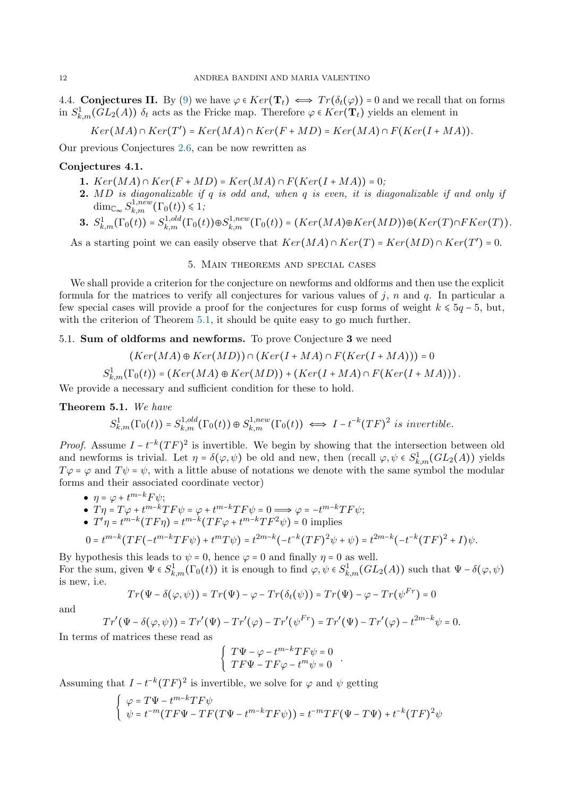4.4. Conjectures II. By [\(9\)](#page-6-2) we have  $\varphi \in Ker(\mathbf{T}_t) \iff Tr(\delta_t(\varphi)) = 0$  and we recall that on forms in  $S^1_{k,m}(GL_2(A))$   $\delta_t$  acts as the Fricke map. Therefore  $\varphi \in Ker(\mathbf{T}_t)$  yields an element in

$$
Ker(MA) \cap Ker(T') = Ker(MA) \cap Ker(F + MD) = Ker(MA) \cap F(Ker(I + MA)).
$$

Our previous Conjectures [2.6,](#page-7-0) can be now rewritten as

## <span id="page-11-2"></span>Conjectures 4.1.

- 1.  $Ker(MA) \cap Ker(F + MD) = Ker(MA) \cap F(Ker(I + MA)) = 0;$
- 2. MD is diagonalizable if q is odd and, when q is even, it is diagonalizable if and only if  $\dim_{\mathbb{C}_{\infty}} S^{1, new}_{k,m}(\Gamma_0(t)) \leq 1;$

$$
\mathbf{3.}\ S_{k,m}^1(\Gamma_0(t))=S_{k,m}^{1,old}(\Gamma_0(t))\oplus S_{k,m}^{1,new}(\Gamma_0(t))=(Ker(MA)\oplus Ker(MD))\oplus (Ker(T)\cap FKer(T)).
$$

As a starting point we can easily observe that  $Ker(MA) \cap Ker(T) = Ker(MD) \cap Ker(T') = 0$ .

## 5. Main theorems and special cases

<span id="page-11-0"></span>We shall provide a criterion for the conjecture on newforms and oldforms and then use the explicit formula for the matrices to verify all conjectures for various values of  $j$ , n and q. In particular a few special cases will provide a proof for the conjectures for cusp forms of weight  $k \leq 5q - 5$ , but, with the criterion of Theorem [5.1,](#page-11-1) it should be quite easy to go much further.

## 5.1. Sum of oldforms and newforms. To prove Conjecture 3 we need

$$
(Ker(MA) \oplus Ker(MD)) \cap (Ker(I+MA) \cap F(Ker(I+MA))) = 0
$$
  

$$
S_{k,m}^1(\Gamma_0(t)) = (Ker(MA) \oplus Ker(MD)) + (Ker(I+MA) \cap F(Ker(I+MA))).
$$

We provide a necessary and sufficient condition for these to hold.

<span id="page-11-1"></span>Theorem 5.1. We have

$$
S_{k,m}^1(\Gamma_0(t)) = S_{k,m}^{1,old}(\Gamma_0(t)) \oplus S_{k,m}^{1,new}(\Gamma_0(t)) \iff I - t^{-k}(TF)^2 \text{ is invertible.}
$$

*Proof.* Assume  $I - t^{-k}(TF)^2$  is invertible. We begin by showing that the intersection between old and newforms is trivial. Let  $\eta = \delta(\varphi, \psi)$  be old and new, then (recall  $\varphi, \psi \in S^1_{k,m}(GL_2(A))$  yields  $T\varphi = \varphi$  and  $T\psi = \psi$ , with a little abuse of notations we denote with the same symbol the modular forms and their associated coordinate vector)

• 
$$
\eta = \varphi + t^{m-k} F \psi;
$$

• 
$$
T\eta = T\varphi + t^{m-k}TF\psi = \varphi + t^{m-k}TF\psi = 0 \Longrightarrow \varphi = -t^{m-k}TF\psi;
$$

•  $T'\eta = t^{m-k}(TF\eta) = t^{m-k}(TF\varphi + t^{m-k}TF^2\psi) = 0$  implies

$$
0 = t^{m-k}(TF(-t^{m-k}TF\psi) + t^mT\psi) = t^{2m-k}(-t^{-k}(TF)^2\psi + \psi) = t^{2m-k}(-t^{-k}(TF)^2 + I)\psi.
$$

By hypothesis this leads to  $\psi = 0$ , hence  $\varphi = 0$  and finally  $\eta = 0$  as well. For the sum, given  $\Psi \in S^1_{k,m}(\Gamma_0(t))$  it is enough to find  $\varphi, \psi \in S^1_{k,m}(GL_2(A))$  such that  $\Psi - \delta(\varphi, \psi)$ is new, i.e.

$$
Tr(\Psi - \delta(\varphi, \psi)) = Tr(\Psi) - \varphi - Tr(\delta_t(\psi)) = Tr(\Psi) - \varphi - Tr(\psi^{Fr}) = 0
$$

and

$$
Tr'(\Psi - \delta(\varphi, \psi)) = Tr'(\Psi) - Tr'(\varphi) - Tr'(\psi^{Fr}) = Tr'(\Psi) - Tr'(\varphi) - t^{2m-k}\psi = 0.
$$

In terms of matrices these read as

$$
\begin{cases}\nT\Psi - \varphi - t^{m-k}TF\psi = 0\\TF\Psi - TF\varphi - t^m\psi = 0\n\end{cases}
$$

.

Assuming that  $I - t^{-k}(TF)^2$  is invertible, we solve for  $\varphi$  and  $\psi$  getting

$$
\begin{cases}\n\varphi = T\Psi - t^{m-k}TF\psi \\
\psi = t^{-m}(TF\Psi - TF(T\Psi - t^{m-k}TF\psi)) = t^{-m}TF(\Psi - T\Psi) + t^{-k}(TF)^2\psi\n\end{cases}
$$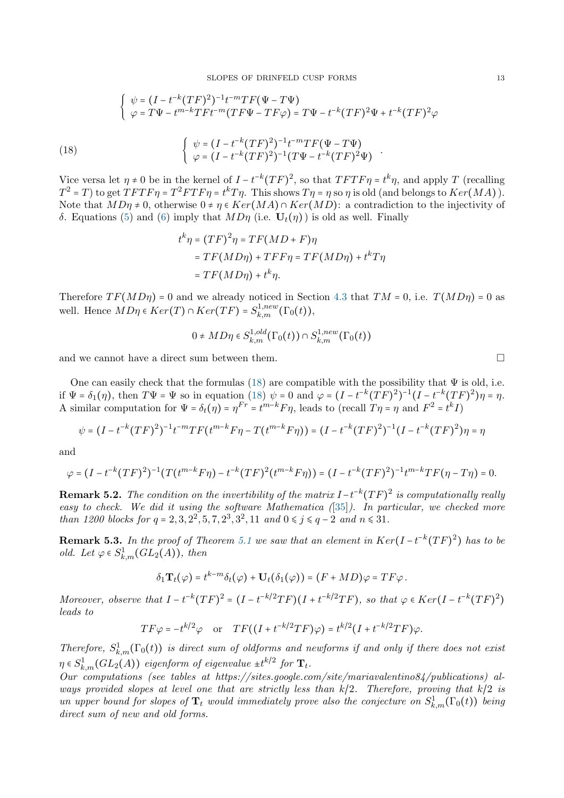$$
\begin{cases}\n\psi = (I - t^{-k}(TF)^2)^{-1}t^{-m}TF(\Psi - T\Psi) \\
\varphi = T\Psi - t^{m-k}TFt^{-m}(TF\Psi - TF\varphi) = T\Psi - t^{-k}(TF)^2\Psi + t^{-k}(TF)^2\varphi\n\end{cases}
$$
\n
$$
\int \psi = (I - t^{-k}(TF)^2)^{-1}t^{-m}TF(\Psi - T\Psi)
$$

(18)  
\n
$$
\begin{cases}\n\varphi = (I - t^{-k}(TF)^2)^{-1}(T\Psi - t^{-k}(TF)^2\Psi) \\
\varphi = (I - t^{-k}(TF)^2)^{-1}(T\Psi - t^{-k}(TF)^2\Psi)\n\end{cases}
$$
\nVice versa let  $\eta \neq 0$  be in the kernel of  $I - t^{-k}(TF)^2$ , so that  $TFTF\eta = t^k\eta$ , and apply  $T$  (recalling  $T^2 = T$ ) to get  $TFTF\eta = T^2FTF\eta = t^kT\eta$ . This shows  $T\eta = \eta$  so  $\eta$  is old (and belongs to  $Ker(MA)$ ).  
\nNote that  $MD\eta \neq 0$ , otherwise  $0 \neq \eta \in Ker(MA) \cap Ker(MD)$ : a contradiction to the injectivity of

δ. Equations [\(5\)](#page-5-1) and [\(6\)](#page-5-2) imply that  $MD\eta$  (i.e.  $U_t(\eta)$ ) is old as well. Finally

<span id="page-12-1"></span>
$$
t^{k}\eta = (TF)^{2}\eta = TF(MD + F)\eta
$$
  
= TF(MD\eta) + TFF\eta = TF(MD\eta) + t^{k}T\eta  
= TF(MD\eta) + t^{k}\eta.

Therefore  $TF(MD\eta) = 0$  and we already noticed in Section [4.3](#page-10-1) that  $TM = 0$ , i.e.  $T(MD\eta) = 0$  as well. Hence  $MD\eta \in Ker(T) \cap Ker(TF) = S^{1,new}_{k,m}(\Gamma_0(t)),$ 

$$
0 \neq M D \eta \in S^{1,old}_{k,m}(\Gamma_0(t)) \cap S^{1,new}_{k,m}(\Gamma_0(t))
$$

and we cannot have a direct sum between them.

One can easily check that the formulas [\(18\)](#page-12-1) are compatible with the possibility that  $\Psi$  is old, i.e. if  $\Psi = \delta_1(\eta)$ , then  $T\Psi = \Psi$  so in equation [\(18\)](#page-12-1)  $\psi = 0$  and  $\varphi = (I - t^{-k}(TF)^2)^{-1}(I - t^{-k}(TF)^2)\eta = \eta$ . A similar computation for  $\Psi = \delta_t(\eta) = \eta^{Fr} = t^{m-k} F \eta$ , leads to (recall  $T\eta = \eta$  and  $F^2 = t^k I$ )

$$
\psi = (I - t^{-k}(TF)^2)^{-1}t^{-m}TF(t^{m-k}F\eta - T(t^{m-k}F\eta)) = (I - t^{-k}(TF)^2)^{-1}(I - t^{-k}(TF)^2)\eta = \eta
$$

and

 $(18)$ 

$$
\varphi = (I - t^{-k}(TF)^2)^{-1}(T(t^{m-k}F\eta) - t^{-k}(TF)^2(t^{m-k}F\eta)) = (I - t^{-k}(TF)^2)^{-1}t^{m-k}TF(\eta - T\eta) = 0.
$$

**Remark 5.2.** The condition on the invertibility of the matrix  $I - t^{-k}(TF)^2$  is computationally really easy to check. We did it using the software Mathematica ([\[35\]](#page-20-30)). In particular, we checked more than 1200 blocks for  $q = 2, 3, 2^2, 5, 7, 2^3, 3^2, 11$  and  $0 \leq j \leq q - 2$  and  $n \leq 31$ .

<span id="page-12-0"></span>**Remark 5.3.** In the proof of Theorem [5.1](#page-11-1) we saw that an element in  $Ker(I - t^{-k}(TF)^2)$  has to be old. Let  $\varphi \in S^1_{k,m}(GL_2(A))$ , then

$$
\delta_1 \mathbf{T}_t(\varphi) = t^{k-m} \delta_t(\varphi) + \mathbf{U}_t(\delta_1(\varphi)) = (F + MD)\varphi = TF\varphi.
$$

Moreover, observe that  $I - t^{-k}(TF)^2 = (I - t^{-k/2}TF)(I + t^{-k/2}TF)$ , so that  $\varphi \in Ker(I - t^{-k}(TF)^2)$ leads to

$$
TF\varphi = -t^{k/2}\varphi \quad \text{or} \quad TF((I + t^{-k/2}TF)\varphi) = t^{k/2}(I + t^{-k/2}TF)\varphi.
$$

Therefore,  $S^1_{k,m}(\Gamma_0(t))$  is direct sum of oldforms and newforms if and only if there does not exist  $\eta \in S^1_{k,m}(GL_2(A))$  eigenform of eigenvalue  $\pm t^{k/2}$  for  $\mathbf{T}_t$ .

Our computations (see tables at https://sites.google.com/site/mariavalentino84/publications) always provided slopes at level one that are strictly less than  $k/2$ . Therefore, proving that  $k/2$  is un upper bound for slopes of  $T_t$  would immediately prove also the conjecture on  $S^1_{k,m}(\Gamma_0(t))$  being direct sum of new and old forms.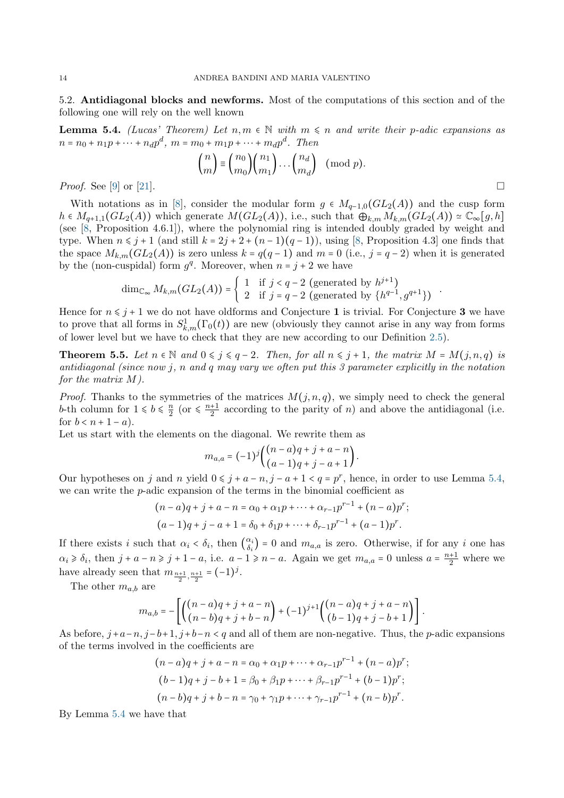<span id="page-13-0"></span>5.2. Antidiagonal blocks and newforms. Most of the computations of this section and of the following one will rely on the well known

<span id="page-13-1"></span>**Lemma 5.4.** (Lucas' Theorem) Let  $n, m \in \mathbb{N}$  with  $m \leq n$  and write their p-adic expansions as  $n = n_0 + n_1 p + \dots + n_d p^d$ ,  $m = m_0 + m_1 p + \dots + m_d p^d$ . Then

$$
\binom{n}{m} \equiv \binom{n_0}{m_0} \binom{n_1}{m_1} \dots \binom{n_d}{m_d} \pmod{p}.
$$

*Proof.* See [\[9\]](#page-20-31) or [\[21\]](#page-20-32).

With notations as in [\[8\]](#page-20-26), consider the modular form  $g \in M_{q-1,0}(GL_2(A))$  and the cusp form  $h \in M_{q+1,1}(GL_2(A))$  which generate  $M(GL_2(A))$ , i.e., such that  $\bigoplus_{k,m} M_{k,m}(GL_2(A)) \simeq \mathbb{C}_{\infty}[g,h]$ (see [\[8,](#page-20-26) Proposition 4.6.1]), where the polynomial ring is intended doubly graded by weight and type. When  $n \leq j + 1$  (and still  $k = 2j + 2 + (n - 1)(q - 1)$ ), using [\[8,](#page-20-26) Proposition 4.3] one finds that the space  $M_{k,m}(GL_2(A))$  is zero unless  $k = q(q-1)$  and  $m = 0$  (i.e.,  $j = q-2$ ) when it is generated by the (non-cuspidal) form  $g^q$ . Moreover, when  $n = j + 2$  we have

$$
\dim_{\mathbb{C}_{\infty}} M_{k,m}(GL_2(A)) = \begin{cases} 1 & \text{if } j < q-2 \text{ (generated by } h^{j+1}) \\ 2 & \text{if } j = q-2 \text{ (generated by } \{h^{q-1}, g^{q+1}\}) \end{cases}.
$$

Hence for  $n \leq j + 1$  we do not have oldforms and Conjecture 1 is trivial. For Conjecture 3 we have to prove that all forms in  $S^1_{k,m}(\Gamma_0(t))$  are new (obviously they cannot arise in any way from forms of lower level but we have to check that they are new according to our Definition [2.5\)](#page-6-3).

<span id="page-13-2"></span>**Theorem 5.5.** Let  $n \in \mathbb{N}$  and  $0 \leq j \leq q-2$ . Then, for all  $n \leq j+1$ , the matrix  $M = M(j, n, q)$  is antidiagonal (since now j, n and q may vary we often put this  $\beta$  parameter explicitly in the notation for the matrix M).

*Proof.* Thanks to the symmetries of the matrices  $M(j, n, q)$ , we simply need to check the general b-th column for  $1 \leq b \leq \frac{n}{2}$  $\frac{n}{2}$  (or  $\leqslant \frac{n+1}{2}$  $\frac{+1}{2}$  according to the parity of *n*) and above the antidiagonal (i.e. for  $b < n + 1 - a$ ).

Let us start with the elements on the diagonal. We rewrite them as

$$
m_{a,a} = (-1)^{j} \binom{(n-a)q + j + a - n}{(a-1)q + j - a + 1}.
$$

Our hypotheses on j and n yield  $0 \leq j + a - n$ ,  $j - a + 1 < q = p^r$ , hence, in order to use Lemma [5.4,](#page-13-1) we can write the  $p$ -adic expansion of the terms in the binomial coefficient as

$$
(n-a)q + j + a - n = \alpha_0 + \alpha_1 p + \dots + \alpha_{r-1} p^{r-1} + (n-a) p^r;
$$
  

$$
(a-1)q + j - a + 1 = \delta_0 + \delta_1 p + \dots + \delta_{r-1} p^{r-1} + (a-1) p^r.
$$

If there exists i such that  $\alpha_i < \delta_i$ , then  $\begin{pmatrix} \alpha_i \\ \delta_i \end{pmatrix}$  $\begin{bmatrix} \alpha_i \\ \delta_i \end{bmatrix} = 0$  and  $m_{a,a}$  is zero. Otherwise, if for any i one has  $\alpha_i \geq \delta_i$ , then  $j + a - n \geq j + 1 - a$ , i.e.  $a - 1 \geq n - a$ . Again we get  $m_{a,a} = 0$  unless  $a = \frac{n+1}{2}$  $\frac{1}{2}$  where we have already seen that  $m_{\frac{n+1}{2}, \frac{n+1}{2}} = (-1)^j$ .

The other  $m_{a,b}$  are

$$
m_{a,b} = -\left[ \binom{(n-a)q+j+a-n}{(n-b)q+j+b-n} + (-1)^{j+1} \binom{(n-a)q+j+a-n}{(b-1)q+j-b+1} \right].
$$

As before,  $j+a-n$ ,  $j-b+1$ ,  $j+b-n < q$  and all of them are non-negative. Thus, the p-adic expansions of the terms involved in the coefficients are

$$
(n-a)q + j + a - n = \alpha_0 + \alpha_1 p + \dots + \alpha_{r-1} p^{r-1} + (n-a) p^r;
$$
  
\n
$$
(b-1)q + j - b + 1 = \beta_0 + \beta_1 p + \dots + \beta_{r-1} p^{r-1} + (b-1) p^r;
$$
  
\n
$$
(n-b)q + j + b - n = \gamma_0 + \gamma_1 p + \dots + \gamma_{r-1} p^{r-1} + (n-b) p^r.
$$

By Lemma [5.4](#page-13-1) we have that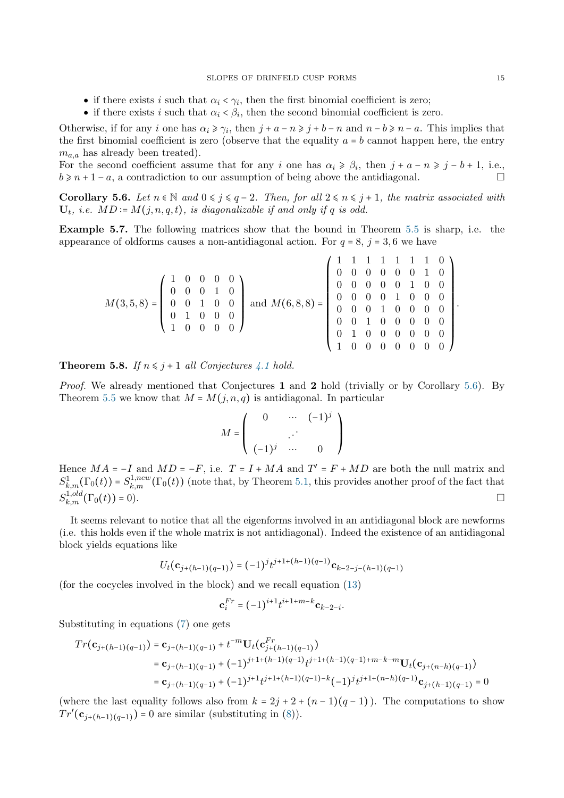- if there exists i such that  $\alpha_i < \gamma_i$ , then the first binomial coefficient is zero;
- if there exists i such that  $\alpha_i < \beta_i$ , then the second binomial coefficient is zero.

Otherwise, if for any i one has  $\alpha_i \geq \gamma_i$ , then  $j + a - n \geq j + b - n$  and  $n - b \geq n - a$ . This implies that the first binomial coefficient is zero (observe that the equality  $a = b$  cannot happen here, the entry  $m_{a,a}$  has already been treated).

For the second coefficient assume that for any i one has  $\alpha_i \geq \beta_i$ , then  $j + a - n \geq j - b + 1$ , i.e.,  $b \geq n+1-a$ , a contradiction to our assumption of being above the antidiagonal.

<span id="page-14-0"></span>Corollary 5.6. Let  $n \in \mathbb{N}$  and  $0 \leq j \leq q-2$ . Then, for all  $2 \leq n \leq j+1$ , the matrix associated with  $U_t$ , i.e.  $MD = M(j, n, q, t)$ , is diagonalizable if and only if q is odd.

Example 5.7. The following matrices show that the bound in Theorem [5.5](#page-13-2) is sharp, i.e. the appearance of oldforms causes a non-antidiagonal action. For  $q = 8$ ,  $j = 3, 6$  we have

| $M(3,5,8)=\left(\begin{array}{cccc} 1 & 0 & 0 & 0 & 0 \\ 0 & 0 & 0 & 1 & 0 \\ 0 & 0 & 1 & 0 & 0 \\ 0 & 1 & 0 & 0 & 0 \\ 1 & 0 & 0 & 0 & 0 \end{array}\right) \text{ and } M(6,8,8)=\left(\begin{array}{cccc} 1 & 1 & 1 & 1 & 1 & 1 & 0 \\ 0 & 0 & 0 & 0 & 0 & 0 & 1 & 0 \\ 0 & 0 & 0 & 0 & 0 & 1 & 0 & 0 \\ 0 & 0 & 0 & 0 & 1 & 0 & 0 & 0 \\ 0 & 0 & $ |  |  |  |  |  |  |  |  |
|--------------------------------------------------------------------------------------------------------------------------------------------------------------------------------------------------------------------------------------------------------------------------------------------------------------------------------------------------------|--|--|--|--|--|--|--|--|
|                                                                                                                                                                                                                                                                                                                                                        |  |  |  |  |  |  |  |  |
|                                                                                                                                                                                                                                                                                                                                                        |  |  |  |  |  |  |  |  |
|                                                                                                                                                                                                                                                                                                                                                        |  |  |  |  |  |  |  |  |
|                                                                                                                                                                                                                                                                                                                                                        |  |  |  |  |  |  |  |  |
|                                                                                                                                                                                                                                                                                                                                                        |  |  |  |  |  |  |  |  |

**Theorem 5.8.** If  $n \leq j+1$  all Conjectures [4.1](#page-11-2) hold.

Proof. We already mentioned that Conjectures 1 and 2 hold (trivially or by Corollary [5.6\)](#page-14-0). By Theorem [5.5](#page-13-2) we know that  $M = M(j, n, q)$  is antidiagonal. In particular

$$
M=\left(\begin{array}{ccc}0&\cdots&(-1)^j\\&\ddots&\\(-1)^j&\cdots&0\end{array}\right)
$$

Hence  $MA = -I$  and  $MD = -F$ , i.e.  $T = I + MA$  and  $T' = F + MD$  are both the null matrix and  $S^1_{k,m}(\Gamma_0(t)) = S^{1,new}_{k,m}(\Gamma_0(t))$  (note that, by Theorem [5.1,](#page-11-1) this provides another proof of the fact that  $S_{k,m}^{1,old}(\Gamma_0(t)) = 0$ .

It seems relevant to notice that all the eigenforms involved in an antidiagonal block are newforms (i.e. this holds even if the whole matrix is not antidiagonal). Indeed the existence of an antidiagonal block yields equations like

$$
U_t(\mathbf{c}_{j+(h-1)(q-1)}) = (-1)^j t^{j+1+(h-1)(q-1)} \mathbf{c}_{k-2-j-(h-1)(q-1)}
$$

(for the cocycles involved in the block) and we recall equation [\(13\)](#page-9-1)

$$
\mathbf{c}_i^{Fr} = (-1)^{i+1} t^{i+1+m-k} \mathbf{c}_{k-2-i}.
$$

Substituting in equations [\(7\)](#page-6-0) one gets

$$
Tr(\mathbf{c}_{j+(h-1)(q-1)}) = \mathbf{c}_{j+(h-1)(q-1)} + t^{-m} \mathbf{U}_t (\mathbf{c}_{j+(h-1)(q-1)}^{Fr})
$$
  
\n
$$
= \mathbf{c}_{j+(h-1)(q-1)} + (-1)^{j+1+(h-1)(q-1)} t^{j+1+(h-1)(q-1)+m-k-m} \mathbf{U}_t (\mathbf{c}_{j+(n-h)(q-1)})
$$
  
\n
$$
= \mathbf{c}_{j+(h-1)(q-1)} + (-1)^{j+1} t^{j+1+(h-1)(q-1)-k} (-1)^j t^{j+1+(n-h)(q-1)} \mathbf{c}_{j+(h-1)(q-1)} = 0
$$

(where the last equality follows also from  $k = 2j + 2 + (n - 1)(q - 1)$ ). The computations to show  $Tr'(\mathbf{c}_{j+(h-1)(q-1)}) = 0$  are similar (substituting in [\(8\)](#page-6-1)).

.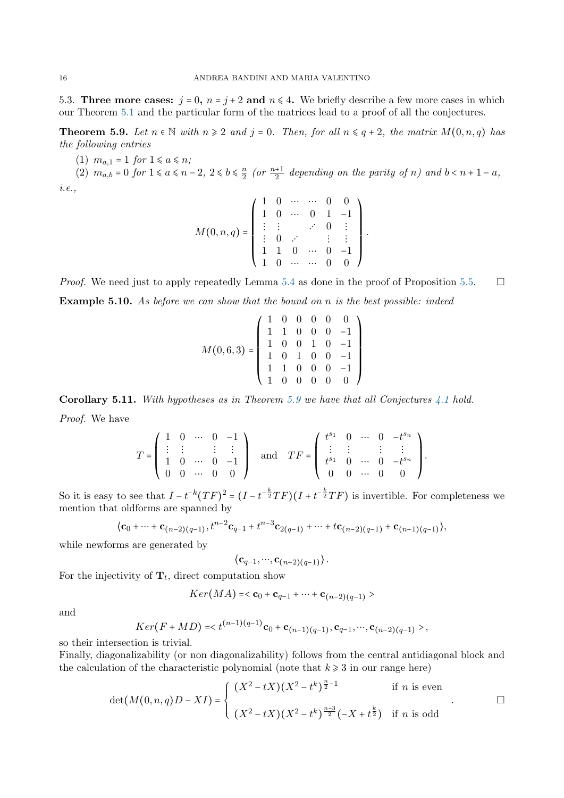5.3. Three more cases:  $j = 0$ ,  $n = j + 2$  and  $n \le 4$ . We briefly describe a few more cases in which our Theorem [5.1](#page-11-1) and the particular form of the matrices lead to a proof of all the conjectures.

<span id="page-15-0"></span>**Theorem 5.9.** Let  $n \in \mathbb{N}$  with  $n \geq 2$  and  $j = 0$ . Then, for all  $n \leq q+2$ , the matrix  $M(0, n, q)$  has the following entries

(1)  $m_{a,1} = 1$  for  $1 \le a \le n$ ;

(2)  $m_{a,b} = 0$  for  $1 \le a \le n-2$ ,  $2 \le b \le \frac{n}{2}$  $\frac{n}{2}$  (or  $\frac{n+1}{2}$  depending on the parity of n) and  $b < n + 1 - a$ , i.e.,

$$
M(0, n, q) = \left(\begin{array}{ccccc} 1 & 0 & \cdots & \cdots & 0 & 0 \\ 1 & 0 & \cdots & 0 & 1 & -1 \\ \vdots & \vdots & & \ddots & 0 & \vdots \\ 1 & 0 & \cdots & & \vdots & \vdots \\ 1 & 1 & 0 & \cdots & 0 & -1 \\ 1 & 0 & \cdots & \cdots & 0 & 0 \end{array}\right)
$$

.

*Proof.* We need just to apply repeatedly Lemma [5.4](#page-13-1) as done in the proof of Proposition [5.5.](#page-13-2)  $\Box$ **Example 5.10.** As before we can show that the bound on n is the best possible: indeed

$$
M(0,6,3) = \left(\begin{array}{rrrrr} 1 & 0 & 0 & 0 & 0 & 0 \\ 1 & 1 & 0 & 0 & 0 & -1 \\ 1 & 0 & 0 & 1 & 0 & -1 \\ 1 & 0 & 1 & 0 & 0 & -1 \\ 1 & 1 & 0 & 0 & 0 & -1 \\ 1 & 0 & 0 & 0 & 0 & 0 \end{array}\right)
$$

Corollary 5.11. With hypotheses as in Theorem [5.9](#page-15-0) we have that all Conjectures  $\angle 4.1$  $\angle 4.1$  hold. Proof. We have

$$
T = \left( \begin{array}{cccc} 1 & 0 & \cdots & 0 & -1 \\ \vdots & \vdots & & \vdots & \vdots \\ 1 & 0 & \cdots & 0 & -1 \\ 0 & 0 & \cdots & 0 & 0 \end{array} \right) \quad \text{and} \quad TF = \left( \begin{array}{cccc} t^{s_1} & 0 & \cdots & 0 & -t^{s_n} \\ \vdots & \vdots & & \vdots & \vdots \\ t^{s_1} & 0 & \cdots & 0 & -t^{s_n} \\ 0 & 0 & \cdots & 0 & 0 \end{array} \right).
$$

So it is easy to see that  $I - t^{-k} (TF)^2 = (I - t^{-\frac{k}{2}} TF)(I + t^{-\frac{k}{2}} TF)$  is invertible. For completeness we mention that oldforms are spanned by

$$
\langle \mathbf{c}_0 + \cdots + \mathbf{c}_{(n-2)(q-1)}, t^{n-2} \mathbf{c}_{q-1} + t^{n-3} \mathbf{c}_{2(q-1)} + \cdots + t \mathbf{c}_{(n-2)(q-1)} + \mathbf{c}_{(n-1)(q-1)} \rangle,
$$

while newforms are generated by

$$
\langle \mathbf{c}_{q-1}, \cdots, \mathbf{c}_{(n-2)(q-1)} \rangle.
$$

For the injectivity of  $\mathbf{T}_t$ , direct computation show

$$
Ker(MA) = <\mathbf{c}_0 + \mathbf{c}_{q-1} + \cdots + \mathbf{c}_{(n-2)(q-1)}>
$$

and

$$
Ker(F+MD) = ,
$$

so their intersection is trivial.

Finally, diagonalizability (or non diagonalizability) follows from the central antidiagonal block and the calculation of the characteristic polynomial (note that  $k \geq 3$  in our range here)

$$
\det(M(0, n, q)D - XI) = \begin{cases} (X^2 - tX)(X^2 - t^k)^{\frac{n}{2} - 1} & \text{if } n \text{ is even} \\ (X^2 - tX)(X^2 - t^k)^{\frac{n-3}{2}}(-X + t^{\frac{k}{2}}) & \text{if } n \text{ is odd} \end{cases}
$$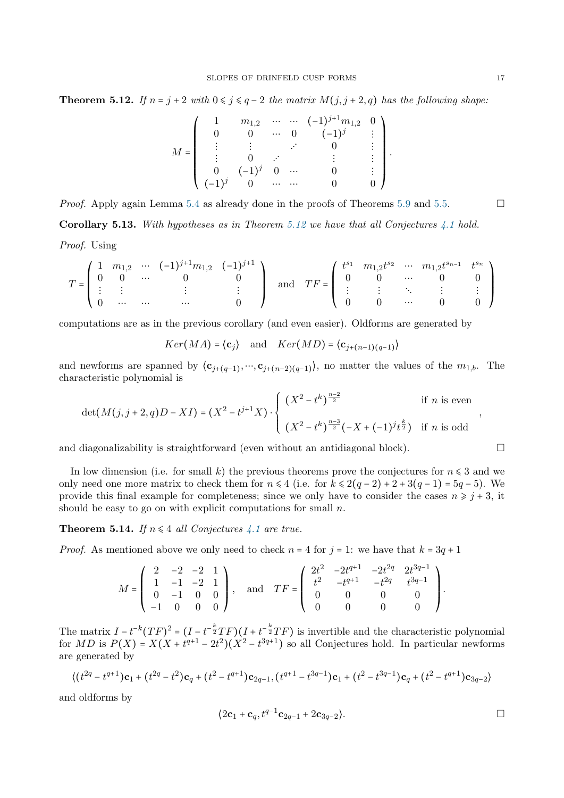<span id="page-16-0"></span>**Theorem 5.12.** If  $n = j + 2$  with  $0 \le j \le q - 2$  the matrix  $M(j, j + 2, q)$  has the following shape:

$$
M = \left(\begin{array}{ccccc} 1 & m_{1,2} & \cdots & \cdots & (-1)^{j+1}m_{1,2} & 0 \\ 0 & 0 & \cdots & 0 & (-1)^{j} & \vdots \\ \vdots & \vdots & \ddots & \vdots & \vdots \\ 0 & (-1)^{j} & 0 & \cdots & 0 & \vdots \\ (-1)^{j} & 0 & \cdots & \cdots & 0 & 0 \end{array}\right)
$$

.

*Proof.* Apply again Lemma [5.4](#page-13-1) as already done in the proofs of Theorems [5.9](#page-15-0) and [5.5.](#page-13-2) **Corollary 5.13.** With hypotheses as in Theorem [5.12](#page-16-0) we have that all Conjectures [4.1](#page-11-2) hold.

Proof. Using

$$
T = \begin{pmatrix} 1 & m_{1,2} & \cdots & (-1)^{j+1}m_{1,2} & (-1)^{j+1} \\ 0 & 0 & \cdots & 0 & 0 \\ \vdots & \vdots & & \vdots & \vdots \\ 0 & \cdots & \cdots & & 0 \end{pmatrix} \quad \text{and} \quad TF = \begin{pmatrix} t^{s_1} & m_{1,2}t^{s_2} & \cdots & m_{1,2}t^{s_{n-1}} & t^{s_n} \\ 0 & 0 & \cdots & 0 & 0 \\ \vdots & \vdots & \ddots & \vdots & \vdots \\ 0 & 0 & \cdots & 0 & 0 \end{pmatrix}
$$

computations are as in the previous corollary (and even easier). Oldforms are generated by

$$
Ker(MA) = \langle \mathbf{c}_j \rangle
$$
 and  $Ker(MD) = \langle \mathbf{c}_{j+(n-1)(q-1)} \rangle$ 

and newforms are spanned by  $\langle c_{j+(q-1)}, \dots, c_{j+(n-2)(q-1)} \rangle$ , no matter the values of the  $m_{1,b}$ . The characteristic polynomial is

$$
\det(M(j, j+2, q)D - XI) = (X^2 - t^{j+1}X) \cdot \begin{cases} (X^2 - t^k)^{\frac{n-2}{2}} & \text{if } n \text{ is even} \\ (X^2 - t^k)^{\frac{n-3}{2}}(-X + (-1)^j t^{\frac{k}{2}}) & \text{if } n \text{ is odd} \end{cases}
$$

and diagonalizability is straightforward (even without an antidiagonal block).  $\Box$ 

In low dimension (i.e. for small k) the previous theorems prove the conjectures for  $n \leq 3$  and we only need one more matrix to check them for  $n \leq 4$  (i.e. for  $k \leq 2(q-2) + 2 + 3(q-1) = 5q - 5$ ). We provide this final example for completeness; since we only have to consider the cases  $n \geq j + 3$ , it should be easy to go on with explicit computations for small  $n$ .

**Theorem 5.14.** If  $n \leq 4$  all Conjectures [4.1](#page-11-2) are true.

*Proof.* As mentioned above we only need to check  $n = 4$  for  $j = 1$ : we have that  $k = 3q + 1$ 

$$
M = \left( \begin{array}{cccc} 2 & -2 & -2 & 1 \\ 1 & -1 & -2 & 1 \\ 0 & -1 & 0 & 0 \\ -1 & 0 & 0 & 0 \end{array} \right), \quad \text{and} \quad TF = \left( \begin{array}{cccc} 2t^2 & -2t^{q+1} & -2t^{2q} & 2t^{3q-1} \\ t^2 & -t^{q+1} & -t^{2q} & t^{3q-1} \\ 0 & 0 & 0 & 0 \\ 0 & 0 & 0 & 0 \end{array} \right).
$$

The matrix  $I - t^{-k} (TF)^2 = (I - t^{-\frac{k}{2}} TF)(I + t^{-\frac{k}{2}} TF)$  is invertible and the characteristic polynomial for MD is  $P(X) = X(X + t^{q+1} - 2t^2)(X^2 - t^{3q+1})$  so all Conjectures hold. In particular newforms are generated by

$$
\langle (t^{2q} - t^{q+1}) \mathbf{c}_1 + (t^{2q} - t^2) \mathbf{c}_q + (t^2 - t^{q+1}) \mathbf{c}_{2q-1}, (t^{q+1} - t^{3q-1}) \mathbf{c}_1 + (t^2 - t^{3q-1}) \mathbf{c}_q + (t^2 - t^{q+1}) \mathbf{c}_{3q-2} \rangle
$$

and oldforms by

$$
\langle 2\mathbf{c}_1 + \mathbf{c}_q, t^{q-1}\mathbf{c}_{2q-1} + 2\mathbf{c}_{3q-2} \rangle.
$$

,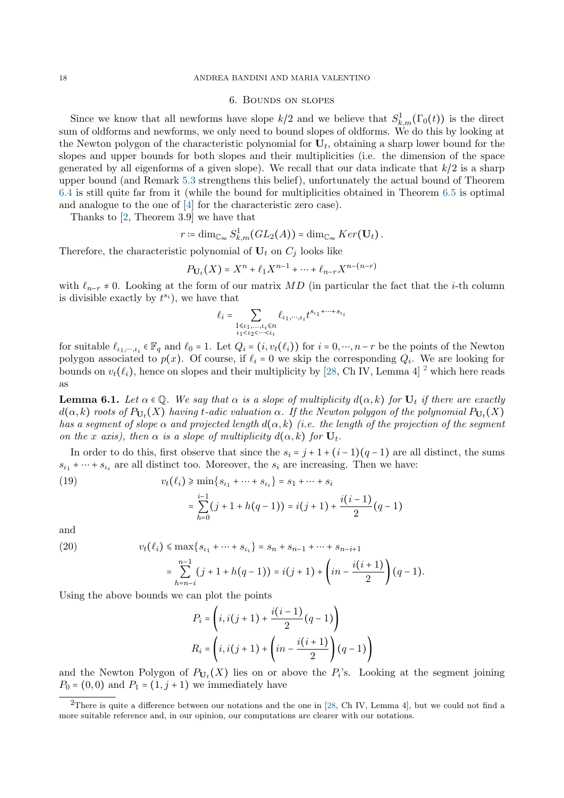## 18 ANDREA BANDINI AND MARIA VALENTINO

## 6. Bounds on slopes

<span id="page-17-0"></span>Since we know that all newforms have slope  $k/2$  and we believe that  $S^1_{k,m}(\Gamma_0(t))$  is the direct sum of oldforms and newforms, we only need to bound slopes of oldforms. We do this by looking at the Newton polygon of the characteristic polynomial for  $U_t$ , obtaining a sharp lower bound for the slopes and upper bounds for both slopes and their multiplicities (i.e. the dimension of the space generated by all eigenforms of a given slope). We recall that our data indicate that  $k/2$  is a sharp upper bound (and Remark [5.3](#page-12-0) strengthens this belief), unfortunately the actual bound of Theorem [6.4](#page-18-1) is still quite far from it (while the bound for multiplicities obtained in Theorem [6.5](#page-18-2) is optimal and analogue to the one of [\[4\]](#page-20-19) for the characteristic zero case).

Thanks to [\[2,](#page-20-12) Theorem 3.9] we have that

$$
r \coloneqq \dim_{\mathbb{C}_{\infty}} S^1_{k,m}(GL_2(A)) = \dim_{\mathbb{C}_{\infty}} Ker(\mathbf{U}_t).
$$

Therefore, the characteristic polynomial of  $U_t$  on  $C_j$  looks like

$$
P_{U_t}(X) = X^n + \ell_1 X^{n-1} + \dots + \ell_{n-r} X^{n-(n-r)}
$$

with  $\ell_{n-r} \neq 0$ . Looking at the form of our matrix MD (in particular the fact that the *i*-th column is divisible exactly by  $t^{s_i}$ ), we have that

$$
\ell_i = \sum_{\substack{1 \leqslant \iota_1, \ldots, \iota_i \leqslant n \\ \iota_1 < \iota_2 < \cdots < \iota_i}} \ell_{\iota_1, \cdots, \iota_i} t^{s_{\iota_1} + \cdots + s_{\iota_i}}
$$

for suitable  $\ell_{i_1,\dots,i_i} \in \mathbb{F}_q$  and  $\ell_0 = 1$ . Let  $Q_i = (i, v_t(\ell_i))$  for  $i = 0,\dots, n-r$  be the points of the Newton polygon associated to  $p(x)$ . Of course, if  $\ell_i = 0$  we skip the corresponding  $Q_i$ . We are looking for bounds on  $v_t(\ell_i)$ , hence on slopes and their multiplicity by [\[28,](#page-20-33) Ch IV, Lemma 4] <sup>[2](#page-17-1)</sup> which here reads as

<span id="page-17-4"></span>**Lemma 6.1.** Let  $\alpha \in \mathbb{Q}$ . We say that  $\alpha$  is a slope of multiplicity  $d(\alpha, k)$  for  $U_t$  if there are exactly  $d(\alpha,k)$  roots of  $P_{\mathbf{U}_t}(X)$  having t-adic valuation  $\alpha.$  If the Newton polygon of the polynomial  $P_{\mathbf{U}_t}(X)$ has a segment of slope  $\alpha$  and projected length  $d(\alpha, k)$  (i.e. the length of the projection of the segment on the x axis), then  $\alpha$  is a slope of multiplicity  $d(\alpha, k)$  for  $U_t$ .

In order to do this, first observe that since the  $s_i = j + 1 + (i - 1)(q - 1)$  are all distinct, the sums  $s_{i_1} + \cdots + s_{i_i}$  are all distinct too. Moreover, the  $s_i$  are increasing. Then we have:

 $\frac{1}{2}$   $(q-1)$ 

<span id="page-17-2"></span>(19) 
$$
v_t(\ell_i) \ge \min\{s_{\ell_1} + \dots + s_{\ell_i}\} = s_1 + \dots + s_i
$$

$$
= \sum_{i=1}^{i-1} (j + 1 + h(q - 1)) = i(j + 1) + \frac{i(i - 1)}{2}
$$

 $h=0$ 

and

<span id="page-17-3"></span>(20) 
$$
v_t(\ell_i) \le \max\{s_{\ell_1} + \dots + s_{\ell_i}\} = s_n + s_{n-1} + \dots + s_{n-i+1}
$$

$$
= \sum_{h=n-i}^{n-1} (j+1+h(q-1)) = i(j+1) + \left(in - \frac{i(i+1)}{2}\right)(q-1).
$$

Using the above bounds we can plot the points

$$
P_i = \left(i, i(j+1) + \frac{i(i-1)}{2}(q-1)\right)
$$
  

$$
R_i = \left(i, i(j+1) + \left(in - \frac{i(i+1)}{2}\right)(q-1)\right)
$$

and the Newton Polygon of  $P_{U_t}(X)$  lies on or above the  $P_i$ 's. Looking at the segment joining  $P_0 = (0, 0)$  and  $P_1 = (1, j + 1)$  we immediately have

<span id="page-17-1"></span><sup>&</sup>lt;sup>2</sup>There is quite a difference between our notations and the one in [\[28,](#page-20-33) Ch IV, Lemma 4], but we could not find a more suitable reference and, in our opinion, our computations are clearer with our notations.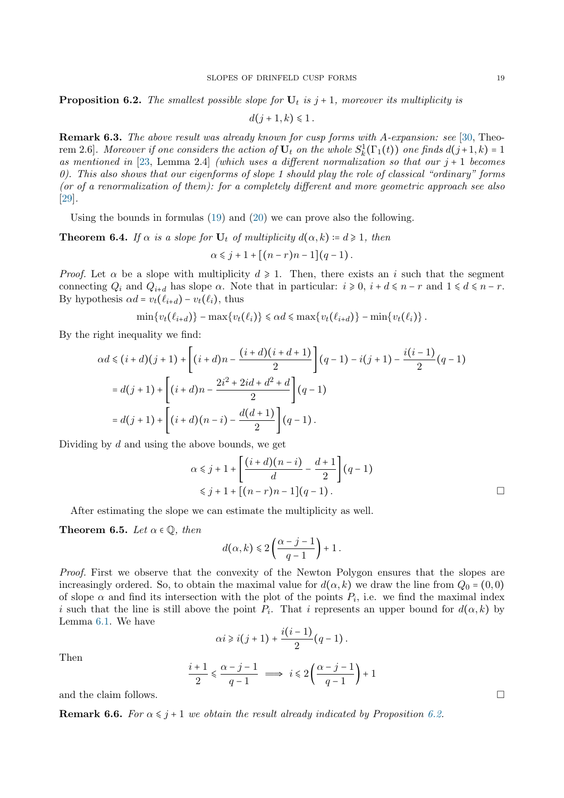<span id="page-18-0"></span>**Proposition 6.2.** The smallest possible slope for  $U_t$  is  $j + 1$ , moreover its multiplicity is

 $d(j + 1, k) \le 1$ .

**Remark 6.3.** The above result was already known for cusp forms with A-expansion: see [\[30,](#page-20-15) Theorem 2.6]. Moreover if one considers the action of  $U_t$  on the whole  $S_k^1(\Gamma_1(t))$  one finds  $d(j+1,k) = 1$ as mentioned in [\[23,](#page-20-17) Lemma 2.4] (which uses a different normalization so that our  $j + 1$  becomes 0). This also shows that our eigenforms of slope 1 should play the role of classical "ordinary" forms (or of a renormalization of them): for a completely different and more geometric approach see also [\[29\]](#page-20-18).

Using the bounds in formulas [\(19\)](#page-17-2) and [\(20\)](#page-17-3) we can prove also the following.

<span id="page-18-1"></span>**Theorem 6.4.** If  $\alpha$  is a slope for  $U_t$  of multiplicity  $d(\alpha, k) \coloneqq d \geq 1$ , then

$$
\alpha \leq j+1+\left[ (n-r)n-1\right] (q-1).
$$

*Proof.* Let  $\alpha$  be a slope with multiplicity  $d \ge 1$ . Then, there exists an i such that the segment connecting  $Q_i$  and  $Q_{i+d}$  has slope  $\alpha$ . Note that in particular:  $i \geq 0$ ,  $i + d \leq n - r$  and  $1 \leq d \leq n - r$ . By hypothesis  $\alpha d = v_t(\ell_{i+d}) - v_t(\ell_i)$ , thus

$$
\min\{v_t(\ell_{i+d})\} - \max\{v_t(\ell_i)\} \leq \alpha d \leq \max\{v_t(\ell_{i+d})\} - \min\{v_t(\ell_i)\}.
$$

By the right inequality we find:

$$
\alpha d \leq (i+d)(j+1) + \left[ (i+d)n - \frac{(i+d)(i+d+1)}{2} \right] (q-1) - i(j+1) - \frac{i(i-1)}{2} (q-1)
$$
  
=  $d(j+1) + \left[ (i+d)n - \frac{2i^2 + 2id + d^2 + d}{2} \right] (q-1)$   
=  $d(j+1) + \left[ (i+d)(n-i) - \frac{d(d+1)}{2} \right] (q-1).$ 

Dividing by  $d$  and using the above bounds, we get

$$
\alpha \leq j+1 + \left[ \frac{(i+d)(n-i)}{d} - \frac{d+1}{2} \right] (q-1)
$$
  
 
$$
\leq j+1 + \left[ (n-r)n - 1 \right] (q-1).
$$

After estimating the slope we can estimate the multiplicity as well.

<span id="page-18-2"></span>**Theorem 6.5.** Let  $\alpha \in \mathbb{Q}$ , then

$$
d\big(\alpha,k\big)\leqslant 2\left(\frac{\alpha-j-1}{q-1}\right)+1\,.
$$

Proof. First we observe that the convexity of the Newton Polygon ensures that the slopes are increasingly ordered. So, to obtain the maximal value for  $d(\alpha, k)$  we draw the line from  $Q_0 = (0, 0)$ of slope  $\alpha$  and find its intersection with the plot of the points  $P_i$ , i.e. we find the maximal index i such that the line is still above the point  $P_i$ . That i represents an upper bound for  $d(\alpha, k)$  by Lemma [6.1.](#page-17-4) We have

$$
\alpha i \geq i(j+1) + \frac{i(i-1)}{2}(q-1).
$$

Then

$$
\frac{i+1}{2} \leq \frac{\alpha - j - 1}{q - 1} \implies i \leq 2\left(\frac{\alpha - j - 1}{q - 1}\right) + 1
$$

and the claim follows.  $\Box$ 

**Remark 6.6.** For  $\alpha \leq j+1$  we obtain the result already indicated by Proposition [6.2.](#page-18-0)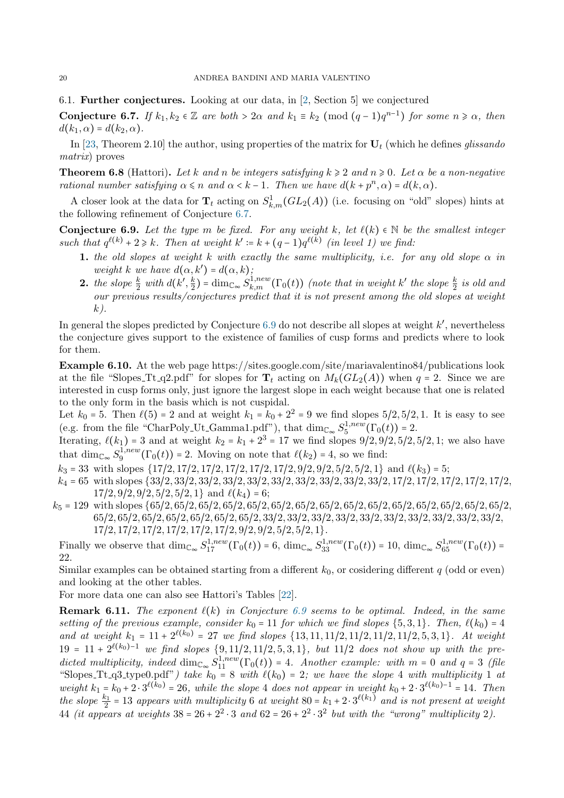6.1. Further conjectures. Looking at our data, in [\[2,](#page-20-12) Section 5] we conjectured

<span id="page-19-0"></span>**Conjecture 6.7.** If  $k_1, k_2 \in \mathbb{Z}$  are both >  $2\alpha$  and  $k_1 \equiv k_2 \pmod{(q-1)q^{n-1}}$  for some  $n \ge \alpha$ , then  $d(k_1,\alpha) = d(k_2,\alpha)$ .

In [\[23,](#page-20-17) Theorem 2.10] the author, using properties of the matrix for  $U_t$  (which he defines glissando matrix) proves

**Theorem 6.8** (Hattori). Let k and n be integers satisfying  $k \ge 2$  and  $n \ge 0$ . Let  $\alpha$  be a non-negative rational number satisfying  $\alpha \leq n$  and  $\alpha < k - 1$ . Then we have  $d(k + p^n, \alpha) = d(k, \alpha)$ .

A closer look at the data for  $\mathbf{T}_t$  acting on  $S^1_{k,m}(GL_2(A))$  (i.e. focusing on "old" slopes) hints at the following refinement of Conjecture [6.7.](#page-19-0)

<span id="page-19-1"></span>Conjecture 6.9. Let the type m be fixed. For any weight k, let  $\ell(k) \in \mathbb{N}$  be the smallest integer such that  $q^{\ell(k)} + 2 \geq k$ . Then at weight  $k' := k + (q-1)q^{\ell(k)}$  (in level 1) we find:

- 1. the old slopes at weight k with exactly the same multiplicity, i.e. for any old slope  $\alpha$  in weight k we have  $d(\alpha, k') = d(\alpha, k)$ ;
- **2.** the slope  $\frac{k}{2}$  with  $d(k', \frac{k}{2})$  $\frac{k}{2}$ ) = dim<sub>C</sub><sub>∞</sub>  $S^{1,new}_{k,m}(\Gamma_0(t))$  (note that in weight k' the slope  $\frac{k}{2}$  is old and our previous results/conjectures predict that it is not present among the old slopes at weight  $k$ ).

In general the slopes predicted by Conjecture  $6.9$  do not describe all slopes at weight  $k'$ , nevertheless the conjecture gives support to the existence of families of cusp forms and predicts where to look for them.

Example 6.10. At the web page https://sites.google.com/site/mariavalentino84/publications look at the file "Slopes\_Tt\_q2.pdf" for slopes for  $T_t$  acting on  $M_k(GL_2(A))$  when  $q = 2$ . Since we are interested in cusp forms only, just ignore the largest slope in each weight because that one is related to the only form in the basis which is not cuspidal.

Let  $k_0 = 5$ . Then  $\ell(5) = 2$  and at weight  $k_1 = k_0 + 2^2 = 9$  we find slopes  $5/2, 5/2, 1$ . It is easy to see (e.g. from the file "CharPoly\_Ut\_Gamma1.pdf"), that  $\dim_{\mathbb{C}_{\infty}} S_5^{1,new}$  $t_5^{(1, new}(\Gamma_0(t)) = 2.$ 

Iterating,  $\ell(k_1) = 3$  and at weight  $k_2 = k_1 + 2^3 = 17$  we find slopes  $9/2, 9/2, 5/2, 5/2, 1$ ; we also have that  $\dim_{\mathbb{C}_{\infty}} S_9^{1,new}$  $\mathcal{L}_9^{1,new}(\Gamma_0(t)) = 2.$  Moving on note that  $\ell(k_2) = 4$ , so we find:

 $k_3 = 33$  with slopes  $\{17/2, 17/2, 17/2, 17/2, 17/2, 17/2, 9/2, 9/2, 5/2, 5/2, 1\}$  and  $\ell(k_3) = 5$ ;

 $k_4 = 65$  with slopes  $\{33/2, 33/2, 33/2, 33/2, 33/2, 33/2, 33/2, 33/2, 33/2, 33/2, 17/2, 17/2, 17/2, 17/2, 17/2, 17/2, 17/2, 17/2, 17/2, 17/2, 17/2, 17/2, 17/2, 17/2, 17/2, 17/2, 17/2, 17/2, 17/2, 17/2, 17/2, 17/2, 17/2$  $17/2, 9/2, 9/2, 5/2, 5/2, 1$  and  $\ell(k_4) = 6$ ;

 $k_5 = 129$  with slopes  $\{65/2, 65/2, 65/2, 65/2, 65/2, 65/2, 65/2, 65/2, 65/2, 65/2, 65/2, 65/2, 65/2, 65/2, 65/2, 65/2, 65/2, 65/2, 65/2, 65/2, 65/2, 65/2, 65/2, 65/2, 65/2, 65/2, 65/2, 65/2, 65/2, 65/2, 65/2, 65/2, 65/$ 65/2, 65/2, 65/2, 65/2, 65/2, 65/2, 65/2, 33/2, 33/2, 33/2, 33/2, 33/2, 33/2, 33/2, 33/2, 33/2, 33/2, 17/2, 17/2, 17/2, 17/2, 17/2, 17/2, 9/2, 9/2, 5/2, 5/2, 1}.

Finally we observe that  $\dim_{\mathbb{C}_{\infty}} S_{17}^{1,new}(\Gamma_0(t)) = 6$ ,  $\dim_{\mathbb{C}_{\infty}} S_{33}^{1,new}(\Gamma_0(t)) = 10$ ,  $\dim_{\mathbb{C}_{\infty}} S_{65}^{1,new}(\Gamma_0(t)) = 10$ 22.

Similar examples can be obtained starting from a different  $k_0$ , or cosidering different q (odd or even) and looking at the other tables.

For more data one can also see Hattori's Tables [\[22\]](#page-20-34).

**Remark 6.11.** The exponent  $\ell(k)$  in Conjecture [6.9](#page-19-1) seems to be optimal. Indeed, in the same setting of the previous example, consider  $k_0 = 11$  for which we find slopes  $\{5, 3, 1\}$ . Then,  $\ell(k_0) = 4$ and at weight  $k_1 = 11 + 2^{\ell(k_0)} = 27$  we find slopes  $\{13, 11, 11/2, 11/2, 11/2, 11/2, 5, 3, 1\}$ . At weight  $19 = 11 + 2^{\ell(k_0)-1}$  we find slopes  $\{9, 11/2, 11/2, 5, 3, 1\}$ , but  $11/2$  does not show up with the predicted multiplicity, indeed  $\dim_{\mathbb{C}_{\infty}} S_{11}^{1,new}(\Gamma_0(t)) = 4$ . Another example: with  $m = 0$  and  $q = 3$  (file "Slopes\_Tt\_q3\_type0.pdf") take  $k_0 = 8$  with  $\ell(k_0) = 2$ ; we have the slope 4 with multiplicity 1 at weight  $k_1 = k_0 + 2 \cdot 3^{\ell(k_0)} = 26$ , while the slope 4 does not appear in weight  $k_0 + 2 \cdot 3^{\ell(k_0)-1} = 14$ . Then the slope  $\frac{k_1}{2}$  = 13 appears with multiplicity 6 at weight 80 =  $k_1 + 2 \cdot 3^{\ell(k_1)}$  and is not present at weight 44 (it appears at weights  $38 = 26 + 2^2 \cdot 3$  and  $62 = 26 + 2^2 \cdot 3^2$  but with the "wrong" multiplicity 2).